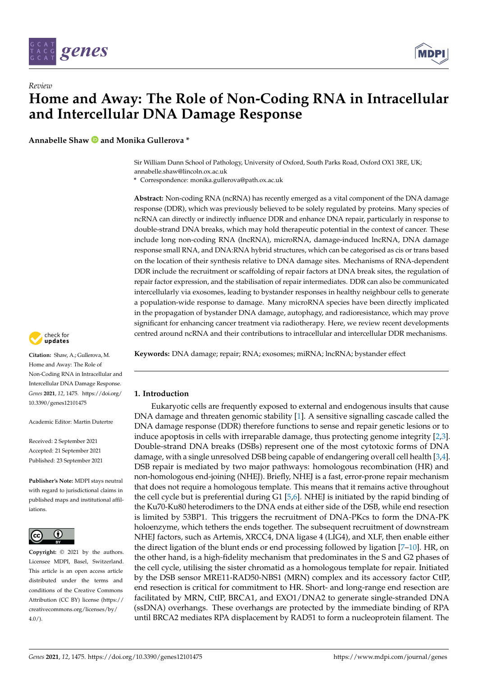

# *Review* **Home and Away: The Role of Non-Coding RNA in Intracellular and Intercellular DNA Damage Response**

**Annabelle Shaw and Monika Gullerova \***

Sir William Dunn School of Pathology, University of Oxford, South Parks Road, Oxford OX1 3RE, UK; annabelle.shaw@lincoln.ox.ac.uk

**\*** Correspondence: monika.gullerova@path.ox.ac.uk

**Abstract:** Non-coding RNA (ncRNA) has recently emerged as a vital component of the DNA damage response (DDR), which was previously believed to be solely regulated by proteins. Many species of ncRNA can directly or indirectly influence DDR and enhance DNA repair, particularly in response to double-strand DNA breaks, which may hold therapeutic potential in the context of cancer. These include long non-coding RNA (lncRNA), microRNA, damage-induced lncRNA, DNA damage response small RNA, and DNA:RNA hybrid structures, which can be categorised as cis or trans based on the location of their synthesis relative to DNA damage sites. Mechanisms of RNA-dependent DDR include the recruitment or scaffolding of repair factors at DNA break sites, the regulation of repair factor expression, and the stabilisation of repair intermediates. DDR can also be communicated intercellularly via exosomes, leading to bystander responses in healthy neighbour cells to generate a population-wide response to damage. Many microRNA species have been directly implicated in the propagation of bystander DNA damage, autophagy, and radioresistance, which may prove significant for enhancing cancer treatment via radiotherapy. Here, we review recent developments centred around ncRNA and their contributions to intracellular and intercellular DDR mechanisms.



## **1. Introduction**

Eukaryotic cells are frequently exposed to external and endogenous insults that cause DNA damage and threaten genomic stability [\[1\]](#page-15-0). A sensitive signalling cascade called the DNA damage response (DDR) therefore functions to sense and repair genetic lesions or to induce apoptosis in cells with irreparable damage, thus protecting genome integrity [\[2,](#page-15-1)[3\]](#page-15-2). Double-strand DNA breaks (DSBs) represent one of the most cytotoxic forms of DNA damage, with a single unresolved DSB being capable of endangering overall cell health [\[3](#page-15-2)[,4\]](#page-15-3). DSB repair is mediated by two major pathways: homologous recombination (HR) and non-homologous end-joining (NHEJ). Briefly, NHEJ is a fast, error-prone repair mechanism that does not require a homologous template. This means that it remains active throughout the cell cycle but is preferential during G1 [\[5](#page-15-4)[,6\]](#page-15-5). NHEJ is initiated by the rapid binding of the Ku70-Ku80 heterodimers to the DNA ends at either side of the DSB, while end resection is limited by 53BP1. This triggers the recruitment of DNA-PKcs to form the DNA-PK holoenzyme, which tethers the ends together. The subsequent recruitment of downstream NHEJ factors, such as Artemis, XRCC4, DNA ligase 4 (LIG4), and XLF, then enable either the direct ligation of the blunt ends or end processing followed by ligation [\[7](#page-15-6)[–10\]](#page-15-7). HR, on the other hand, is a high-fidelity mechanism that predominates in the S and G2 phases of the cell cycle, utilising the sister chromatid as a homologous template for repair. Initiated by the DSB sensor MRE11-RAD50-NBS1 (MRN) complex and its accessory factor CtIP, end resection is critical for commitment to HR. Short- and long-range end resection are facilitated by MRN, CtIP, BRCA1, and EXO1/DNA2 to generate single-stranded DNA (ssDNA) overhangs. These overhangs are protected by the immediate binding of RPA until BRCA2 mediates RPA displacement by RAD51 to form a nucleoprotein filament. The



**Citation:** Shaw, A.; Gullerova, M. Home and Away: The Role of Non-Coding RNA in Intracellular and Intercellular DNA Damage Response. *Genes* **2021**, *12*, 1475. [https://doi.org/](https://doi.org/10.3390/genes12101475) [10.3390/genes12101475](https://doi.org/10.3390/genes12101475)

Academic Editor: Martin Dutertre

Received: 2 September 2021 Accepted: 21 September 2021 Published: 23 September 2021

**Publisher's Note:** MDPI stays neutral with regard to jurisdictional claims in published maps and institutional affiliations.



**Copyright:** © 2021 by the authors. Licensee MDPI, Basel, Switzerland. This article is an open access article distributed under the terms and conditions of the Creative Commons Attribution (CC BY) license (https:/[/](https://creativecommons.org/licenses/by/4.0/) [creativecommons.org/licenses/by/](https://creativecommons.org/licenses/by/4.0/)  $4.0/$ ).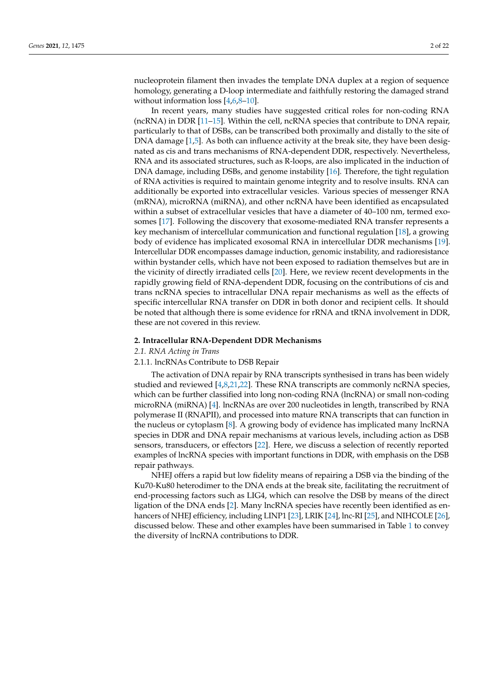nucleoprotein filament then invades the template DNA duplex at a region of sequence homology, generating a D-loop intermediate and faithfully restoring the damaged strand without information loss [\[4](#page-15-3)[,6](#page-15-5)[,8–](#page-15-8)[10\]](#page-15-7).

In recent years, many studies have suggested critical roles for non-coding RNA (ncRNA) in DDR [\[11–](#page-15-9)[15\]](#page-15-10). Within the cell, ncRNA species that contribute to DNA repair, particularly to that of DSBs, can be transcribed both proximally and distally to the site of DNA damage [\[1](#page-15-0)[,5\]](#page-15-4). As both can influence activity at the break site, they have been designated as cis and trans mechanisms of RNA-dependent DDR, respectively. Nevertheless, RNA and its associated structures, such as R-loops, are also implicated in the induction of DNA damage, including DSBs, and genome instability [\[16\]](#page-15-11). Therefore, the tight regulation of RNA activities is required to maintain genome integrity and to resolve insults. RNA can additionally be exported into extracellular vesicles. Various species of messenger RNA (mRNA), microRNA (miRNA), and other ncRNA have been identified as encapsulated within a subset of extracellular vesicles that have a diameter of 40–100 nm, termed exosomes [\[17\]](#page-15-12). Following the discovery that exosome-mediated RNA transfer represents a key mechanism of intercellular communication and functional regulation [\[18\]](#page-15-13), a growing body of evidence has implicated exosomal RNA in intercellular DDR mechanisms [\[19\]](#page-16-0). Intercellular DDR encompasses damage induction, genomic instability, and radioresistance within bystander cells, which have not been exposed to radiation themselves but are in the vicinity of directly irradiated cells [\[20\]](#page-16-1). Here, we review recent developments in the rapidly growing field of RNA-dependent DDR, focusing on the contributions of cis and trans ncRNA species to intracellular DNA repair mechanisms as well as the effects of specific intercellular RNA transfer on DDR in both donor and recipient cells. It should be noted that although there is some evidence for rRNA and tRNA involvement in DDR, these are not covered in this review.

### **2. Intracellular RNA-Dependent DDR Mechanisms**

*2.1. RNA Acting in Trans*

### 2.1.1. lncRNAs Contribute to DSB Repair

The activation of DNA repair by RNA transcripts synthesised in trans has been widely studied and reviewed [\[4](#page-15-3)[,8](#page-15-8)[,21](#page-16-2)[,22\]](#page-16-3). These RNA transcripts are commonly ncRNA species, which can be further classified into long non-coding RNA (lncRNA) or small non-coding microRNA (miRNA) [\[4\]](#page-15-3). lncRNAs are over 200 nucleotides in length, transcribed by RNA polymerase II (RNAPII), and processed into mature RNA transcripts that can function in the nucleus or cytoplasm [\[8\]](#page-15-8). A growing body of evidence has implicated many lncRNA species in DDR and DNA repair mechanisms at various levels, including action as DSB sensors, transducers, or effectors [\[22\]](#page-16-3). Here, we discuss a selection of recently reported examples of lncRNA species with important functions in DDR, with emphasis on the DSB repair pathways.

NHEJ offers a rapid but low fidelity means of repairing a DSB via the binding of the Ku70-Ku80 heterodimer to the DNA ends at the break site, facilitating the recruitment of end-processing factors such as LIG4, which can resolve the DSB by means of the direct ligation of the DNA ends [\[2\]](#page-15-1). Many lncRNA species have recently been identified as en-hancers of NHEJ efficiency, including LINP1 [\[23\]](#page-16-4), LRIK [\[24\]](#page-16-5), lnc-RI [\[25\]](#page-16-6), and NIHCOLE [\[26\]](#page-16-7), discussed below. These and other examples have been summarised in Table [1](#page-2-0) to convey the diversity of lncRNA contributions to DDR.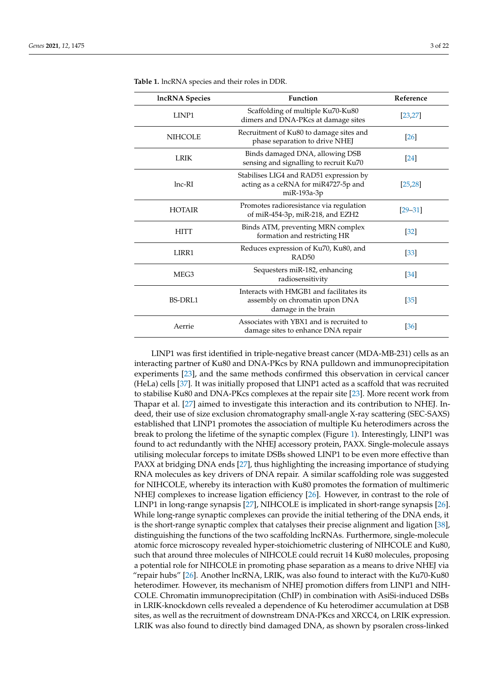| <b>IncRNA</b> Species | Function                                                                                          | Reference         |
|-----------------------|---------------------------------------------------------------------------------------------------|-------------------|
| LINP1                 | Scaffolding of multiple Ku70-Ku80<br>dimers and DNA-PKcs at damage sites                          | [23, 27]          |
| <b>NIHCOLE</b>        | Recruitment of Ku80 to damage sites and<br>phase separation to drive NHEJ                         | [26]              |
| <b>LRIK</b>           | Binds damaged DNA, allowing DSB<br>sensing and signalling to recruit Ku70                         | $[24]$            |
| $lnc$ -RI             | Stabilises LIG4 and RAD51 expression by<br>acting as a ceRNA for miR4727-5p and<br>miR-193a-3p    | [25, 28]          |
| <b>HOTAIR</b>         | Promotes radioresistance via regulation<br>of miR-454-3p, miR-218, and EZH2                       | $[29 - 31]$       |
| <b>HITT</b>           | Binds ATM, preventing MRN complex<br>formation and restricting HR                                 | $\left[32\right]$ |
| LIRR1                 | Reduces expression of Ku70, Ku80, and<br>RAD <sub>50</sub>                                        | $[33]$            |
| MEG <sub>3</sub>      | Sequesters miR-182, enhancing<br>radiosensitivity                                                 | $\left[34\right]$ |
| <b>BS-DRL1</b>        | Interacts with HMGB1 and facilitates its<br>assembly on chromatin upon DNA<br>damage in the brain |                   |
| Aerrie                | Associates with YBX1 and is recruited to<br>damage sites to enhance DNA repair                    | [36]              |

<span id="page-2-0"></span>**Table 1.** lncRNA species and their roles in DDR.

LINP1 was first identified in triple-negative breast cancer (MDA-MB-231) cells as an interacting partner of Ku80 and DNA-PKcs by RNA pulldown and immunoprecipitation experiments [\[23\]](#page-16-4), and the same methods confirmed this observation in cervical cancer (HeLa) cells [\[37\]](#page-16-17). It was initially proposed that LINP1 acted as a scaffold that was recruited to stabilise Ku80 and DNA-PKcs complexes at the repair site [\[23\]](#page-16-4). More recent work from Thapar et al. [\[27\]](#page-16-8) aimed to investigate this interaction and its contribution to NHEJ. Indeed, their use of size exclusion chromatography small-angle X-ray scattering (SEC-SAXS) established that LINP1 promotes the association of multiple Ku heterodimers across the break to prolong the lifetime of the synaptic complex (Figure [1\)](#page-3-0). Interestingly, LINP1 was found to act redundantly with the NHEJ accessory protein, PAXX. Single-molecule assays utilising molecular forceps to imitate DSBs showed LINP1 to be even more effective than PAXX at bridging DNA ends [\[27\]](#page-16-8), thus highlighting the increasing importance of studying RNA molecules as key drivers of DNA repair. A similar scaffolding role was suggested for NIHCOLE, whereby its interaction with Ku80 promotes the formation of multimeric NHEJ complexes to increase ligation efficiency [\[26\]](#page-16-7). However, in contrast to the role of LINP1 in long-range synapsis [\[27\]](#page-16-8), NIHCOLE is implicated in short-range synapsis [\[26\]](#page-16-7). While long-range synaptic complexes can provide the initial tethering of the DNA ends, it is the short-range synaptic complex that catalyses their precise alignment and ligation [\[38\]](#page-16-18), distinguishing the functions of the two scaffolding lncRNAs. Furthermore, single-molecule atomic force microscopy revealed hyper-stoichiometric clustering of NIHCOLE and Ku80, such that around three molecules of NIHCOLE could recruit 14 Ku80 molecules, proposing a potential role for NIHCOLE in promoting phase separation as a means to drive NHEJ via "repair hubs" [\[26\]](#page-16-7). Another lncRNA, LRIK, was also found to interact with the Ku70-Ku80 heterodimer. However, its mechanism of NHEJ promotion differs from LINP1 and NIH-COLE. Chromatin immunoprecipitation (ChIP) in combination with AsiSi-induced DSBs in LRIK-knockdown cells revealed a dependence of Ku heterodimer accumulation at DSB sites, as well as the recruitment of downstream DNA-PKcs and XRCC4, on LRIK expression. LRIK was also found to directly bind damaged DNA, as shown by psoralen cross-linked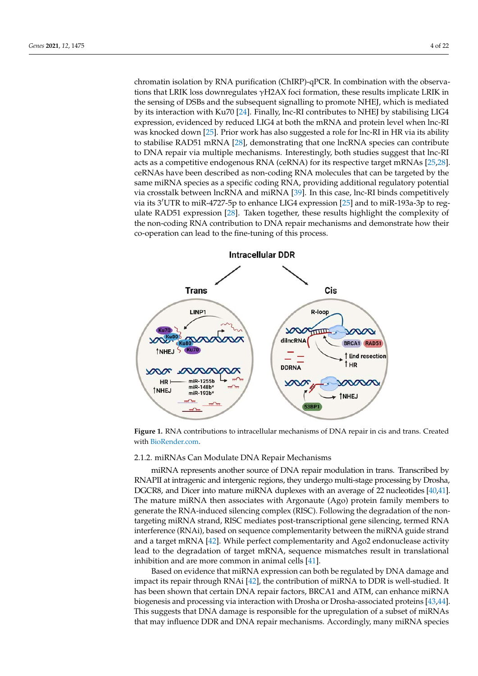chromatin isolation by RNA purification (ChIRP)-qPCR. In combination with the observations that LRIK loss downregulates γH2AX foci formation, these results implicate LRIK in the sensing of DSBs and the subsequent signalling to promote NHEJ, which is mediated by its interaction with Ku70 [\[24\]](#page-16-5). Finally, lnc-RI contributes to NHEJ by stabilising LIG4 expression, evidenced by reduced LIG4 at both the mRNA and protein level when lnc-RI was knocked down [\[25\]](#page-16-6). Prior work has also suggested a role for lnc-RI in HR via its ability to stabilise RAD51 mRNA [\[28\]](#page-16-9), demonstrating that one lncRNA species can contribute to DNA repair via multiple mechanisms. Interestingly, both studies suggest that lnc-RI acts as a competitive endogenous RNA (ceRNA) for its respective target mRNAs [\[25,](#page-16-6)[28\]](#page-16-9). ceRNAs have been described as non-coding RNA molecules that can be targeted by the same miRNA species as a specific coding RNA, providing additional regulatory potential via crosstalk between lncRNA and miRNA [\[39\]](#page-16-19). In this case, lnc-RI binds competitively via its 3'UTR to miR-4727-5p to enhance LIG4 expres[sion](#page-16-6) [25] and to miR-193a-3p to reg-ulate RAD51 expression [\[28\]](#page-16-9). Taken together, these results highlight the complexity of the non-coding RNA contribution to DNA repair mechanisms and demonstrate how their co-operation can lead to the fine-tuning of this process. process.

<span id="page-3-0"></span>

**Figure 1.** RNA contributions to intracellular mechanisms of DNA repair in cis and trans. Created with PioDordor com with BioRender.com. with [BioRender.com.](BioRender.com)

### 2.1.2. miRNAs Can Modulate DNA Repair Mechanisms

miRNA represents another source of DNA repair modulation in trans. Transcribed by RNAPII at intragenic and intergenic regions, they undergo multi-stage processing by Drosha, DGCR8, and Dicer into mature miRNA duplexes with an average of 22 nucleotides [40,41]. The mature miRNA then associates with Argonaute (Ago) protein family members to generate the RNA-induced silencing complex (RISC). Following the degradation of the nontargeting miRNA strand, RISC mediates post-transcriptional gene silencing, termed RNA interference (RNAi), based on sequence complementarity between the miRNA guide strand and a target mRNA [42]. While p[erfe](#page-16-22)ct complementarity and Ago2 endonuclease activity lead to the degradation of target mRNA, sequence mismatches result in translational inhibition and are more common in animal cells  $[41]$ .

Based on evidence that miRNA expression can both be regulated by DNA damage and impact its repair through RNAi [\[42\]](#page-16-22), the contribution of miRNA to DDR is well-studied. It has been shown that certain DNA repair factors, BRCA1 and ATM, can enhance miRNA biogenesis and processing via interaction with Drosha or Drosha-associated proteins [\[43](#page-16-23)[,44\]](#page-16-24). This suggests that DNA damage is responsible for the upregulation of a subset of miRNAs that may influence DDR and DNA repair mechanisms. Accordingly, many miRNA species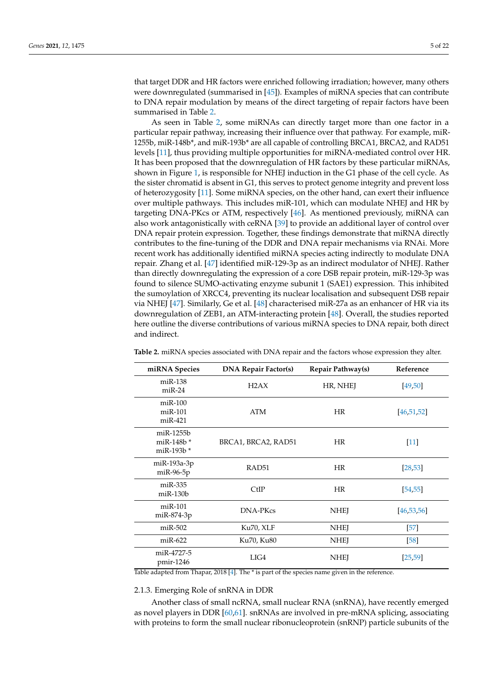that target DDR and HR factors were enriched following irradiation; however, many others were downregulated (summarised in [\[45\]](#page-17-0)). Examples of miRNA species that can contribute to DNA repair modulation by means of the direct targeting of repair factors have been summarised in Table [2.](#page-4-0)

As seen in Table [2,](#page-4-0) some miRNAs can directly target more than one factor in a particular repair pathway, increasing their influence over that pathway. For example, miR-1255b, miR-148b\*, and miR-193b\* are all capable of controlling BRCA1, BRCA2, and RAD51 levels [\[11\]](#page-15-9), thus providing multiple opportunities for miRNA-mediated control over HR. It has been proposed that the downregulation of HR factors by these particular miRNAs, shown in Figure [1,](#page-3-0) is responsible for NHEJ induction in the G1 phase of the cell cycle. As the sister chromatid is absent in G1, this serves to protect genome integrity and prevent loss of heterozygosity [\[11\]](#page-15-9). Some miRNA species, on the other hand, can exert their influence over multiple pathways. This includes miR-101, which can modulate NHEJ and HR by targeting DNA-PKcs or ATM, respectively [\[46\]](#page-17-1). As mentioned previously, miRNA can also work antagonistically with ceRNA [\[39\]](#page-16-19) to provide an additional layer of control over DNA repair protein expression. Together, these findings demonstrate that miRNA directly contributes to the fine-tuning of the DDR and DNA repair mechanisms via RNAi. More recent work has additionally identified miRNA species acting indirectly to modulate DNA repair. Zhang et al. [\[47\]](#page-17-2) identified miR-129-3p as an indirect modulator of NHEJ. Rather than directly downregulating the expression of a core DSB repair protein, miR-129-3p was found to silence SUMO-activating enzyme subunit 1 (SAE1) expression. This inhibited the sumoylation of XRCC4, preventing its nuclear localisation and subsequent DSB repair via NHEJ [\[47\]](#page-17-2). Similarly, Ge et al. [\[48\]](#page-17-3) characterised miR-27a as an enhancer of HR via its downregulation of ZEB1, an ATM-interacting protein [\[48\]](#page-17-3). Overall, the studies reported here outline the diverse contributions of various miRNA species to DNA repair, both direct and indirect.

| miRNA Species                                  | <b>DNA Repair Factor(s)</b> | Repair Pathway(s) | Reference    |
|------------------------------------------------|-----------------------------|-------------------|--------------|
| $miR-138$<br>$miR-24$                          | H2AX                        | HR, NHEJ          | [49, 50]     |
| $miR-100$<br>$miR-101$<br>$miR-421$            | ATM                         | <b>HR</b>         | [46, 51, 52] |
| $m$ i $R-1255b$<br>miR-148b *<br>miR-193 $b^*$ | BRCA1, BRCA2, RAD51         | HR                | $[11]$       |
| miR-193a-3p<br>$miR-96-5p$                     | RAD51                       | HR                | [28, 53]     |
| $miR-335$<br>$m$ i $R-130b$                    | CtIP                        | HR                | [54, 55]     |
| $miR-101$<br>miR-874-3p                        | <b>DNA-PKcs</b>             | <b>NHEJ</b>       | [46, 53, 56] |
| $miR-502$                                      | Ku70, XLF                   | <b>NHEI</b>       | $[57]$       |
| $miR-622$                                      | Ku70, Ku80                  | <b>NHEI</b>       | [58]         |
| miR-4727-5<br>$pmir-1246$                      | LIG4                        | <b>NHEI</b>       | [25, 59]     |

<span id="page-4-0"></span>**Table 2.** miRNA species associated with DNA repair and the factors whose expression they alter.

Table adapted from Thapar, 2018 [\[4\]](#page-15-3). The \* is part of the species name given in the reference.

### 2.1.3. Emerging Role of snRNA in DDR

Another class of small ncRNA, small nuclear RNA (snRNA), have recently emerged as novel players in DDR [\[60](#page-17-15)[,61\]](#page-17-16). snRNAs are involved in pre-mRNA splicing, associating with proteins to form the small nuclear ribonucleoprotein (snRNP) particle subunits of the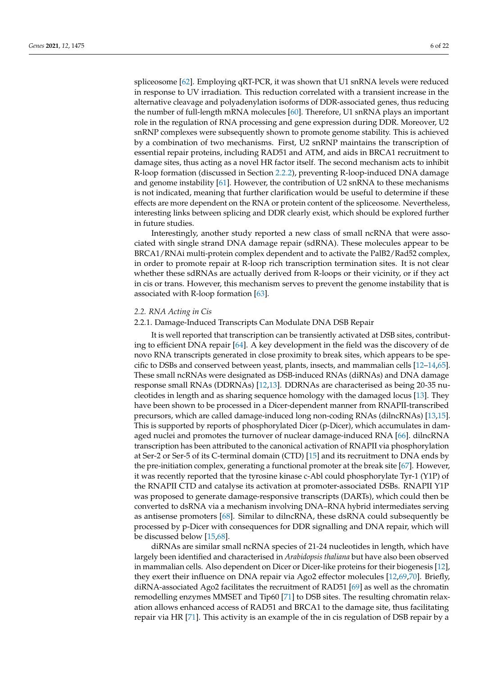spliceosome [\[62\]](#page-17-17). Employing qRT-PCR, it was shown that U1 snRNA levels were reduced in response to UV irradiation. This reduction correlated with a transient increase in the alternative cleavage and polyadenylation isoforms of DDR-associated genes, thus reducing the number of full-length mRNA molecules [\[60\]](#page-17-15). Therefore, U1 snRNA plays an important role in the regulation of RNA processing and gene expression during DDR. Moreover, U2 snRNP complexes were subsequently shown to promote genome stability. This is achieved by a combination of two mechanisms. First, U2 snRNP maintains the transcription of essential repair proteins, including RAD51 and ATM, and aids in BRCA1 recruitment to damage sites, thus acting as a novel HR factor itself. The second mechanism acts to inhibit R-loop formation (discussed in Section [2.2.2\)](#page-7-0), preventing R-loop-induced DNA damage and genome instability [\[61\]](#page-17-16). However, the contribution of U2 snRNA to these mechanisms is not indicated, meaning that further clarification would be useful to determine if these effects are more dependent on the RNA or protein content of the spliceosome. Nevertheless, interesting links between splicing and DDR clearly exist, which should be explored further in future studies.

Interestingly, another study reported a new class of small ncRNA that were associated with single strand DNA damage repair (sdRNA). These molecules appear to be BRCA1/RNAi multi-protein complex dependent and to activate the PalB2/Rad52 complex, in order to promote repair at R-loop rich transcription termination sites. It is not clear whether these sdRNAs are actually derived from R-loops or their vicinity, or if they act in cis or trans. However, this mechanism serves to prevent the genome instability that is associated with R-loop formation [\[63\]](#page-17-18).

### *2.2. RNA Acting in Cis*

### <span id="page-5-0"></span>2.2.1. Damage-Induced Transcripts Can Modulate DNA DSB Repair

It is well reported that transcription can be transiently activated at DSB sites, contributing to efficient DNA repair [\[64\]](#page-17-19). A key development in the field was the discovery of de novo RNA transcripts generated in close proximity to break sites, which appears to be specific to DSBs and conserved between yeast, plants, insects, and mammalian cells [\[12](#page-15-14)[–14](#page-15-15)[,65\]](#page-17-20). These small ncRNAs were designated as DSB-induced RNAs (diRNAs) and DNA damage response small RNAs (DDRNAs) [\[12](#page-15-14)[,13\]](#page-15-16). DDRNAs are characterised as being 20-35 nucleotides in length and as sharing sequence homology with the damaged locus [\[13\]](#page-15-16). They have been shown to be processed in a Dicer-dependent manner from RNAPII-transcribed precursors, which are called damage-induced long non-coding RNAs (dilncRNAs) [\[13](#page-15-16)[,15\]](#page-15-10). This is supported by reports of phosphorylated Dicer (p-Dicer), which accumulates in damaged nuclei and promotes the turnover of nuclear damage-induced RNA [\[66\]](#page-17-21). dilncRNA transcription has been attributed to the canonical activation of RNAPII via phosphorylation at Ser-2 or Ser-5 of its C-terminal domain (CTD) [\[15\]](#page-15-10) and its recruitment to DNA ends by the pre-initiation complex, generating a functional promoter at the break site [\[67\]](#page-17-22). However, it was recently reported that the tyrosine kinase c-Abl could phosphorylate Tyr-1 (Y1P) of the RNAPII CTD and catalyse its activation at promoter-associated DSBs. RNAPII Y1P was proposed to generate damage-responsive transcripts (DARTs), which could then be converted to dsRNA via a mechanism involving DNA–RNA hybrid intermediates serving as antisense promoters [\[68\]](#page-17-23). Similar to dilncRNA, these dsRNA could subsequently be processed by p-Dicer with consequences for DDR signalling and DNA repair, which will be discussed below [\[15,](#page-15-10)[68\]](#page-17-23).

diRNAs are similar small ncRNA species of 21-24 nucleotides in length, which have largely been identified and characterised in *Arabidopsis thaliana* but have also been observed in mammalian cells. Also dependent on Dicer or Dicer-like proteins for their biogenesis [\[12\]](#page-15-14), they exert their influence on DNA repair via Ago2 effector molecules [\[12](#page-15-14)[,69,](#page-17-24)[70\]](#page-18-0). Briefly, diRNA-associated Ago2 facilitates the recruitment of RAD51 [\[69\]](#page-17-24) as well as the chromatin remodelling enzymes MMSET and Tip60 [\[71\]](#page-18-1) to DSB sites. The resulting chromatin relaxation allows enhanced access of RAD51 and BRCA1 to the damage site, thus facilitating repair via HR [\[71\]](#page-18-1). This activity is an example of the in cis regulation of DSB repair by a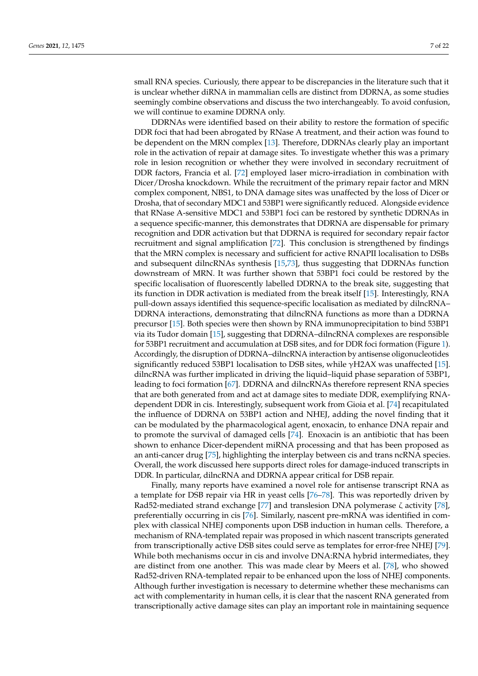small RNA species. Curiously, there appear to be discrepancies in the literature such that it is unclear whether diRNA in mammalian cells are distinct from DDRNA, as some studies seemingly combine observations and discuss the two interchangeably. To avoid confusion, we will continue to examine DDRNA only.

DDRNAs were identified based on their ability to restore the formation of specific DDR foci that had been abrogated by RNase A treatment, and their action was found to be dependent on the MRN complex [\[13\]](#page-15-16). Therefore, DDRNAs clearly play an important role in the activation of repair at damage sites. To investigate whether this was a primary role in lesion recognition or whether they were involved in secondary recruitment of DDR factors, Francia et al. [\[72\]](#page-18-2) employed laser micro-irradiation in combination with Dicer/Drosha knockdown. While the recruitment of the primary repair factor and MRN complex component, NBS1, to DNA damage sites was unaffected by the loss of Dicer or Drosha, that of secondary MDC1 and 53BP1 were significantly reduced. Alongside evidence that RNase A-sensitive MDC1 and 53BP1 foci can be restored by synthetic DDRNAs in a sequence specific-manner, this demonstrates that DDRNA are dispensable for primary recognition and DDR activation but that DDRNA is required for secondary repair factor recruitment and signal amplification [\[72\]](#page-18-2). This conclusion is strengthened by findings that the MRN complex is necessary and sufficient for active RNAPII localisation to DSBs and subsequent dilncRNAs synthesis [\[15](#page-15-10)[,73\]](#page-18-3), thus suggesting that DDRNAs function downstream of MRN. It was further shown that 53BP1 foci could be restored by the specific localisation of fluorescently labelled DDRNA to the break site, suggesting that its function in DDR activation is mediated from the break itself [\[15\]](#page-15-10). Interestingly, RNA pull-down assays identified this sequence-specific localisation as mediated by dilncRNA– DDRNA interactions, demonstrating that dilncRNA functions as more than a DDRNA precursor [\[15\]](#page-15-10). Both species were then shown by RNA immunoprecipitation to bind 53BP1 via its Tudor domain [\[15\]](#page-15-10), suggesting that DDRNA–dilncRNA complexes are responsible for 53BP1 recruitment and accumulation at DSB sites, and for DDR foci formation (Figure [1\)](#page-3-0). Accordingly, the disruption of DDRNA–dilncRNA interaction by antisense oligonucleotides significantly reduced 53BP1 localisation to DSB sites, while  $\gamma$ H2AX was unaffected [\[15\]](#page-15-10). dilncRNA was further implicated in driving the liquid–liquid phase separation of 53BP1, leading to foci formation [\[67\]](#page-17-22). DDRNA and dilncRNAs therefore represent RNA species that are both generated from and act at damage sites to mediate DDR, exemplifying RNAdependent DDR in cis. Interestingly, subsequent work from Gioia et al. [\[74\]](#page-18-4) recapitulated the influence of DDRNA on 53BP1 action and NHEJ, adding the novel finding that it can be modulated by the pharmacological agent, enoxacin, to enhance DNA repair and to promote the survival of damaged cells [\[74\]](#page-18-4). Enoxacin is an antibiotic that has been shown to enhance Dicer-dependent miRNA processing and that has been proposed as an anti-cancer drug [\[75\]](#page-18-5), highlighting the interplay between cis and trans ncRNA species. Overall, the work discussed here supports direct roles for damage-induced transcripts in DDR. In particular, dilncRNA and DDRNA appear critical for DSB repair.

Finally, many reports have examined a novel role for antisense transcript RNA as a template for DSB repair via HR in yeast cells [\[76–](#page-18-6)[78\]](#page-18-7). This was reportedly driven by Rad52-mediated strand exchange [\[77\]](#page-18-8) and translesion DNA polymerase ζ activity [\[78\]](#page-18-7), preferentially occurring in cis [\[76\]](#page-18-6). Similarly, nascent pre-mRNA was identified in complex with classical NHEJ components upon DSB induction in human cells. Therefore, a mechanism of RNA-templated repair was proposed in which nascent transcripts generated from transcriptionally active DSB sites could serve as templates for error-free NHEJ [\[79\]](#page-18-9). While both mechanisms occur in cis and involve DNA:RNA hybrid intermediates, they are distinct from one another. This was made clear by Meers et al. [\[78\]](#page-18-7), who showed Rad52-driven RNA-templated repair to be enhanced upon the loss of NHEJ components. Although further investigation is necessary to determine whether these mechanisms can act with complementarity in human cells, it is clear that the nascent RNA generated from transcriptionally active damage sites can play an important role in maintaining sequence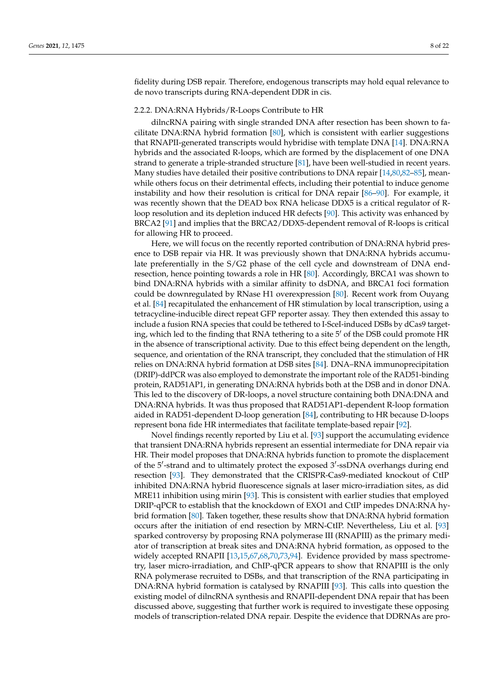fidelity during DSB repair. Therefore, endogenous transcripts may hold equal relevance to de novo transcripts during RNA-dependent DDR in cis.

### <span id="page-7-0"></span>2.2.2. DNA:RNA Hybrids/R-Loops Contribute to HR

dilncRNA pairing with single stranded DNA after resection has been shown to facilitate DNA:RNA hybrid formation [\[80\]](#page-18-10), which is consistent with earlier suggestions that RNAPII-generated transcripts would hybridise with template DNA [\[14\]](#page-15-15). DNA:RNA hybrids and the associated R-loops, which are formed by the displacement of one DNA strand to generate a triple-stranded structure [\[81\]](#page-18-11), have been well-studied in recent years. Many studies have detailed their positive contributions to DNA repair [\[14,](#page-15-15)[80](#page-18-10)[,82–](#page-18-12)[85\]](#page-18-13), meanwhile others focus on their detrimental effects, including their potential to induce genome instability and how their resolution is critical for DNA repair [\[86–](#page-18-14)[90\]](#page-18-15). For example, it was recently shown that the DEAD box RNA helicase DDX5 is a critical regulator of Rloop resolution and its depletion induced HR defects [\[90\]](#page-18-15). This activity was enhanced by BRCA2 [\[91\]](#page-18-16) and implies that the BRCA2/DDX5-dependent removal of R-loops is critical for allowing HR to proceed.

Here, we will focus on the recently reported contribution of DNA:RNA hybrid presence to DSB repair via HR. It was previously shown that DNA:RNA hybrids accumulate preferentially in the S/G2 phase of the cell cycle and downstream of DNA endresection, hence pointing towards a role in HR [\[80\]](#page-18-10). Accordingly, BRCA1 was shown to bind DNA:RNA hybrids with a similar affinity to dsDNA, and BRCA1 foci formation could be downregulated by RNase H1 overexpression [\[80\]](#page-18-10). Recent work from Ouyang et al. [\[84\]](#page-18-17) recapitulated the enhancement of HR stimulation by local transcription, using a tetracycline-inducible direct repeat GFP reporter assay. They then extended this assay to include a fusion RNA species that could be tethered to I-SceI-induced DSBs by dCas9 targeting, which led to the finding that RNA tethering to a site  $5'$  of the DSB could promote HR in the absence of transcriptional activity. Due to this effect being dependent on the length, sequence, and orientation of the RNA transcript, they concluded that the stimulation of HR relies on DNA:RNA hybrid formation at DSB sites [\[84\]](#page-18-17). DNA–RNA immunoprecipitation (DRIP)-ddPCR was also employed to demonstrate the important role of the RAD51-binding protein, RAD51AP1, in generating DNA:RNA hybrids both at the DSB and in donor DNA. This led to the discovery of DR-loops, a novel structure containing both DNA:DNA and DNA:RNA hybrids. It was thus proposed that RAD51AP1-dependent R-loop formation aided in RAD51-dependent D-loop generation [\[84\]](#page-18-17), contributing to HR because D-loops represent bona fide HR intermediates that facilitate template-based repair [\[92\]](#page-18-18).

Novel findings recently reported by Liu et al. [\[93\]](#page-18-19) support the accumulating evidence that transient DNA:RNA hybrids represent an essential intermediate for DNA repair via HR. Their model proposes that DNA:RNA hybrids function to promote the displacement of the 5'-strand and to ultimately protect the exposed 3'-ssDNA overhangs during end resection [\[93\]](#page-18-19). They demonstrated that the CRISPR-Cas9-mediated knockout of CtIP inhibited DNA:RNA hybrid fluorescence signals at laser micro-irradiation sites, as did MRE11 inhibition using mirin [\[93\]](#page-18-19). This is consistent with earlier studies that employed DRIP-qPCR to establish that the knockdown of EXO1 and CtIP impedes DNA:RNA hybrid formation [\[80\]](#page-18-10). Taken together, these results show that DNA:RNA hybrid formation occurs after the initiation of end resection by MRN-CtIP. Nevertheless, Liu et al. [\[93\]](#page-18-19) sparked controversy by proposing RNA polymerase III (RNAPIII) as the primary mediator of transcription at break sites and DNA:RNA hybrid formation, as opposed to the widely accepted RNAPII [\[13,](#page-15-16)[15,](#page-15-10)[67,](#page-17-22)[68,](#page-17-23)[70](#page-18-0)[,73](#page-18-3)[,94\]](#page-19-0). Evidence provided by mass spectrometry, laser micro-irradiation, and ChIP-qPCR appears to show that RNAPIII is the only RNA polymerase recruited to DSBs, and that transcription of the RNA participating in DNA:RNA hybrid formation is catalysed by RNAPIII [\[93\]](#page-18-19). This calls into question the existing model of dilncRNA synthesis and RNAPII-dependent DNA repair that has been discussed above, suggesting that further work is required to investigate these opposing models of transcription-related DNA repair. Despite the evidence that DDRNAs are pro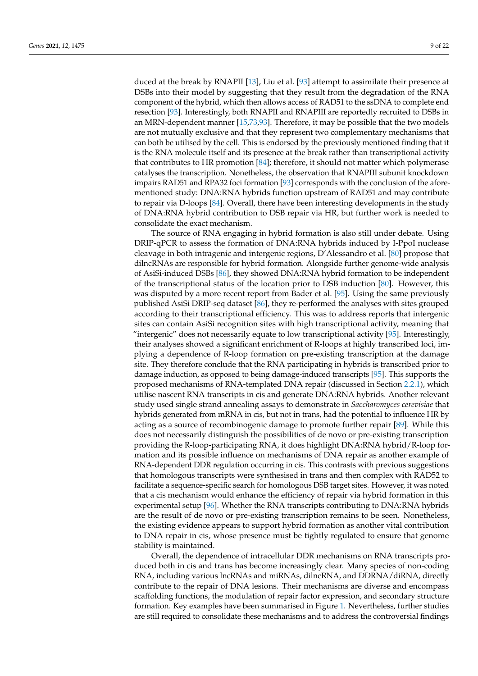duced at the break by RNAPII [\[13\]](#page-15-16), Liu et al. [\[93\]](#page-18-19) attempt to assimilate their presence at DSBs into their model by suggesting that they result from the degradation of the RNA component of the hybrid, which then allows access of RAD51 to the ssDNA to complete end resection [\[93\]](#page-18-19). Interestingly, both RNAPII and RNAPIII are reportedly recruited to DSBs in an MRN-dependent manner [\[15,](#page-15-10)[73,](#page-18-3)[93\]](#page-18-19). Therefore, it may be possible that the two models are not mutually exclusive and that they represent two complementary mechanisms that can both be utilised by the cell. This is endorsed by the previously mentioned finding that it is the RNA molecule itself and its presence at the break rather than transcriptional activity that contributes to HR promotion [\[84\]](#page-18-17); therefore, it should not matter which polymerase catalyses the transcription. Nonetheless, the observation that RNAPIII subunit knockdown impairs RAD51 and RPA32 foci formation [\[93\]](#page-18-19) corresponds with the conclusion of the aforementioned study: DNA:RNA hybrids function upstream of RAD51 and may contribute to repair via D-loops [\[84\]](#page-18-17). Overall, there have been interesting developments in the study of DNA:RNA hybrid contribution to DSB repair via HR, but further work is needed to consolidate the exact mechanism.

The source of RNA engaging in hybrid formation is also still under debate. Using DRIP-qPCR to assess the formation of DNA:RNA hybrids induced by I-PpoI nuclease cleavage in both intragenic and intergenic regions, D'Alessandro et al. [\[80\]](#page-18-10) propose that dilncRNAs are responsible for hybrid formation. Alongside further genome-wide analysis of AsiSi-induced DSBs [\[86\]](#page-18-14), they showed DNA:RNA hybrid formation to be independent of the transcriptional status of the location prior to DSB induction [\[80\]](#page-18-10). However, this was disputed by a more recent report from Bader et al. [\[95\]](#page-19-1). Using the same previously published AsiSi DRIP-seq dataset [\[86\]](#page-18-14), they re-performed the analyses with sites grouped according to their transcriptional efficiency. This was to address reports that intergenic sites can contain AsiSi recognition sites with high transcriptional activity, meaning that "intergenic" does not necessarily equate to low transcriptional activity [\[95\]](#page-19-1). Interestingly, their analyses showed a significant enrichment of R-loops at highly transcribed loci, implying a dependence of R-loop formation on pre-existing transcription at the damage site. They therefore conclude that the RNA participating in hybrids is transcribed prior to damage induction, as opposed to being damage-induced transcripts [\[95\]](#page-19-1). This supports the proposed mechanisms of RNA-templated DNA repair (discussed in Section [2.2.1\)](#page-5-0), which utilise nascent RNA transcripts in cis and generate DNA:RNA hybrids. Another relevant study used single strand annealing assays to demonstrate in *Saccharomyces cerevisiae* that hybrids generated from mRNA in cis, but not in trans, had the potential to influence HR by acting as a source of recombinogenic damage to promote further repair [\[89\]](#page-18-20). While this does not necessarily distinguish the possibilities of de novo or pre-existing transcription providing the R-loop-participating RNA, it does highlight DNA:RNA hybrid/R-loop formation and its possible influence on mechanisms of DNA repair as another example of RNA-dependent DDR regulation occurring in cis. This contrasts with previous suggestions that homologous transcripts were synthesised in trans and then complex with RAD52 to facilitate a sequence-specific search for homologous DSB target sites. However, it was noted that a cis mechanism would enhance the efficiency of repair via hybrid formation in this experimental setup [\[96\]](#page-19-2). Whether the RNA transcripts contributing to DNA:RNA hybrids are the result of de novo or pre-existing transcription remains to be seen. Nonetheless, the existing evidence appears to support hybrid formation as another vital contribution to DNA repair in cis, whose presence must be tightly regulated to ensure that genome stability is maintained.

Overall, the dependence of intracellular DDR mechanisms on RNA transcripts produced both in cis and trans has become increasingly clear. Many species of non-coding RNA, including various lncRNAs and miRNAs, dilncRNA, and DDRNA/diRNA, directly contribute to the repair of DNA lesions. Their mechanisms are diverse and encompass scaffolding functions, the modulation of repair factor expression, and secondary structure formation. Key examples have been summarised in Figure [1.](#page-3-0) Nevertheless, further studies are still required to consolidate these mechanisms and to address the controversial findings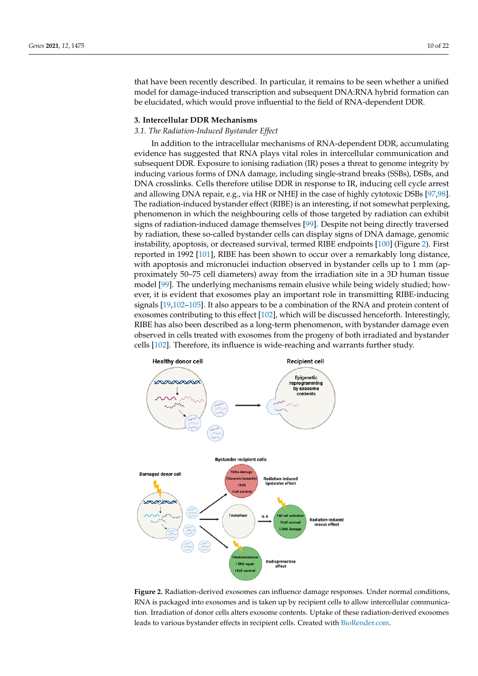that have been recently described. In particular, it remains to be seen whether a unified model for damage-induced transcription and subsequent DNA:RNA hybrid formation can be elucidated, which would prove influential to the field of RNA-dependent DDR.

# **3. Intercellular DDR Mechanisms** *3.1. The Radiation-Induced Bystander Effect*

### *3.1. The Radiation-Induced Bystander Effect*

In addition to the intracellular mechanisms of RNA-dependent DDR, accumulating evidence has suggested that RNA plays vital roles in intercellular communication and subsequent DDR. Exposure to ionising radiation (IR) poses a threat to genome integrity by inducing various forms of DNA damage, including single-strand breaks (SSBs), DSBs, and DNA crosslinks. Cells therefore utilise DDR in response to IR, inducing cell cycle arrest and allowing DNA repair, e.g., via HR or NHEJ in the case of highly cytotoxic DSBs [\[97](#page-19-3)[,98\]](#page-19-4). The radiation-induced bystander effect (RIBE) is an interesting, if not somewhat perplexing, phenomenon in which the neighbouring cells of those targeted by radiation can exhibit signs of radiation-induced damage themselves [\[99\]](#page-19-5). Despite not being directly traversed by radiation, these so-called bystander cells can display signs of DNA damage, genomic instability, apoptosis, or decreased survival, termed RIBE endpoints [100] (Figure 2). First reported in 1992 [101], RIBE has been shown to occur over a remarkably long distance, with apoptosis and micronuclei induction observed in bystander cells up to 1 mm (approximately 50-75 cell diameters) away from the irradiation site in a 3D human tissue model [\[99\]](#page-19-5). The underlying mechanisms remain elusive while being widely studied; however, it is evident that exosomes play an important role in transmitting RIBE-inducing signals [\[19](#page-16-0)[,102](#page-19-8)-105]. It also appears to be a combination of the RNA and protein content of exosomes contributing to this effect [\[102\]](#page-19-8), which will be discussed henceforth. Interestingly, RIBE has also been described as a long-term phenomenon, with bystander damage even observed in cells treated with exosomes from the progeny of both irradiated and bystander cells [\[102\]](#page-19-8). Therefore, its influence is wide-reaching and warrants further study. In addition to the intracellular mechanisms of RNA-dependent DDR, accumulating In addition to the intracentular mechanisms of KINA-dependent DDK, accumular

<span id="page-9-0"></span>

**Figure 2.** Radiation-derived exosomes can influence damage responses. Under normal conditions, RNA is packaged into exosomes and is taken up by recipient cells to allow intercellular communication. Irradiation of donor cells alters exosome contents. Uptake of these radiation-derived exosomes leads to various bystander effects in recipient cells. Created with [BioRender.com.](BioRender.com)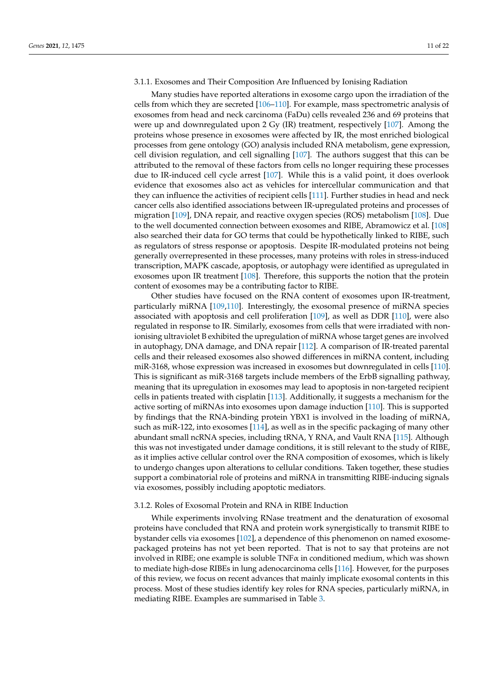### <span id="page-10-0"></span>3.1.1. Exosomes and Their Composition Are Influenced by Ionising Radiation

Many studies have reported alterations in exosome cargo upon the irradiation of the cells from which they are secreted [\[106–](#page-19-10)[110\]](#page-19-11). For example, mass spectrometric analysis of exosomes from head and neck carcinoma (FaDu) cells revealed 236 and 69 proteins that were up and downregulated upon 2 Gy (IR) treatment, respectively [\[107\]](#page-19-12). Among the proteins whose presence in exosomes were affected by IR, the most enriched biological processes from gene ontology (GO) analysis included RNA metabolism, gene expression, cell division regulation, and cell signalling [\[107\]](#page-19-12). The authors suggest that this can be attributed to the removal of these factors from cells no longer requiring these processes due to IR-induced cell cycle arrest [\[107\]](#page-19-12). While this is a valid point, it does overlook evidence that exosomes also act as vehicles for intercellular communication and that they can influence the activities of recipient cells [\[111\]](#page-19-13). Further studies in head and neck cancer cells also identified associations between IR-upregulated proteins and processes of migration [\[109\]](#page-19-14), DNA repair, and reactive oxygen species (ROS) metabolism [\[108\]](#page-19-15). Due to the well documented connection between exosomes and RIBE, Abramowicz et al. [\[108\]](#page-19-15) also searched their data for GO terms that could be hypothetically linked to RIBE, such as regulators of stress response or apoptosis. Despite IR-modulated proteins not being generally overrepresented in these processes, many proteins with roles in stress-induced transcription, MAPK cascade, apoptosis, or autophagy were identified as upregulated in exosomes upon IR treatment [\[108\]](#page-19-15). Therefore, this supports the notion that the protein content of exosomes may be a contributing factor to RIBE.

Other studies have focused on the RNA content of exosomes upon IR-treatment, particularly miRNA [\[109](#page-19-14)[,110\]](#page-19-11). Interestingly, the exosomal presence of miRNA species associated with apoptosis and cell proliferation [\[109\]](#page-19-14), as well as DDR [\[110\]](#page-19-11), were also regulated in response to IR. Similarly, exosomes from cells that were irradiated with nonionising ultraviolet B exhibited the upregulation of miRNA whose target genes are involved in autophagy, DNA damage, and DNA repair [\[112\]](#page-19-16). A comparison of IR-treated parental cells and their released exosomes also showed differences in miRNA content, including miR-3168, whose expression was increased in exosomes but downregulated in cells [\[110\]](#page-19-11). This is significant as miR-3168 targets include members of the ErbB signalling pathway, meaning that its upregulation in exosomes may lead to apoptosis in non-targeted recipient cells in patients treated with cisplatin [\[113\]](#page-19-17). Additionally, it suggests a mechanism for the active sorting of miRNAs into exosomes upon damage induction [\[110\]](#page-19-11). This is supported by findings that the RNA-binding protein YBX1 is involved in the loading of miRNA, such as miR-122, into exosomes [\[114\]](#page-19-18), as well as in the specific packaging of many other abundant small ncRNA species, including tRNA, Y RNA, and Vault RNA [\[115\]](#page-19-19). Although this was not investigated under damage conditions, it is still relevant to the study of RIBE, as it implies active cellular control over the RNA composition of exosomes, which is likely to undergo changes upon alterations to cellular conditions. Taken together, these studies support a combinatorial role of proteins and miRNA in transmitting RIBE-inducing signals via exosomes, possibly including apoptotic mediators.

### 3.1.2. Roles of Exosomal Protein and RNA in RIBE Induction

While experiments involving RNase treatment and the denaturation of exosomal proteins have concluded that RNA and protein work synergistically to transmit RIBE to bystander cells via exosomes [\[102\]](#page-19-8), a dependence of this phenomenon on named exosomepackaged proteins has not yet been reported. That is not to say that proteins are not involved in RIBE; one example is soluble  $TNF\alpha$  in conditioned medium, which was shown to mediate high-dose RIBEs in lung adenocarcinoma cells [\[116\]](#page-19-20). However, for the purposes of this review, we focus on recent advances that mainly implicate exosomal contents in this process. Most of these studies identify key roles for RNA species, particularly miRNA, in mediating RIBE. Examples are summarised in Table [3.](#page-11-0)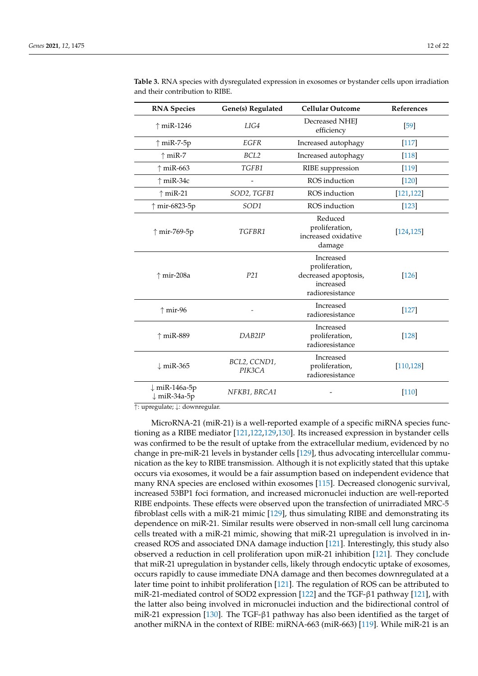| <b>RNA Species</b>                       | Gene(s) Regulated      | <b>Cellular Outcome</b>                                                             | References |
|------------------------------------------|------------------------|-------------------------------------------------------------------------------------|------------|
| $\uparrow$ miR-1246                      | LIG4                   | Decreased NHEJ<br>efficiency                                                        | [59]       |
| $\uparrow$ miR-7-5p                      | EGFR                   | Increased autophagy                                                                 | $[117]$    |
| $\uparrow$ miR-7                         | BCL2                   | Increased autophagy                                                                 | $[118]$    |
| $\uparrow$ miR-663                       | TGFB1                  | RIBE suppression                                                                    | [119]      |
| $\uparrow$ miR-34c                       |                        | ROS induction                                                                       | $[120]$    |
| $\uparrow$ miR-21                        | SOD2, TGFB1            | ROS induction                                                                       | [121, 122] |
| ↑ mir-6823-5p                            | SOD1                   | ROS induction                                                                       | $[123]$    |
| ↑ mir-769-5p                             | TGFBR1                 | Reduced<br>proliferation,<br>increased oxidative<br>damage                          | [124, 125] |
| ↑ mir-208a                               | P21                    | Increased<br>proliferation,<br>decreased apoptosis,<br>increased<br>radioresistance | [126]      |
| $\uparrow$ mir-96                        |                        | Increased<br>radioresistance                                                        | $[127]$    |
| $\uparrow$ miR-889                       | DAB <sub>2IP</sub>     | Increased<br>proliferation,<br>radioresistance                                      | [128]      |
| $\downarrow$ miR-365                     | BCL2, CCND1,<br>PIK3CA | Increased<br>proliferation,<br>radioresistance                                      | [110, 128] |
| ↓ miR-146a-5p<br>$\downarrow$ miR-34a-5p | NFKB1, BRCA1           |                                                                                     | $[110]$    |

<span id="page-11-0"></span>**Table 3.** RNA species with dysregulated expression in exosomes or bystander cells upon irradiation and their contribution to RIBE.

↑: upregulate; ↓: downregular.

MicroRNA-21 (miR-21) is a well-reported example of a specific miRNA species functioning as a RIBE mediator [\[121,](#page-20-4)[122,](#page-20-5)[129,](#page-20-12)[130\]](#page-20-13). Its increased expression in bystander cells was confirmed to be the result of uptake from the extracellular medium, evidenced by no change in pre-miR-21 levels in bystander cells [\[129\]](#page-20-12), thus advocating intercellular communication as the key to RIBE transmission. Although it is not explicitly stated that this uptake occurs via exosomes, it would be a fair assumption based on independent evidence that many RNA species are enclosed within exosomes [\[115\]](#page-19-19). Decreased clonogenic survival, increased 53BP1 foci formation, and increased micronuclei induction are well-reported RIBE endpoints. These effects were observed upon the transfection of unirradiated MRC-5 fibroblast cells with a miR-21 mimic [\[129\]](#page-20-12), thus simulating RIBE and demonstrating its dependence on miR-21. Similar results were observed in non-small cell lung carcinoma cells treated with a miR-21 mimic, showing that miR-21 upregulation is involved in increased ROS and associated DNA damage induction [\[121\]](#page-20-4). Interestingly, this study also observed a reduction in cell proliferation upon miR-21 inhibition [\[121\]](#page-20-4). They conclude that miR-21 upregulation in bystander cells, likely through endocytic uptake of exosomes, occurs rapidly to cause immediate DNA damage and then becomes downregulated at a later time point to inhibit proliferation [\[121\]](#page-20-4). The regulation of ROS can be attributed to miR-21-mediated control of SOD2 expression [\[122\]](#page-20-5) and the TGF-β1 pathway [\[121\]](#page-20-4), with the latter also being involved in micronuclei induction and the bidirectional control of miR-21 expression [\[130\]](#page-20-13). The TGF-β1 pathway has also been identified as the target of another miRNA in the context of RIBE: miRNA-663 (miR-663) [\[119\]](#page-20-2). While miR-21 is an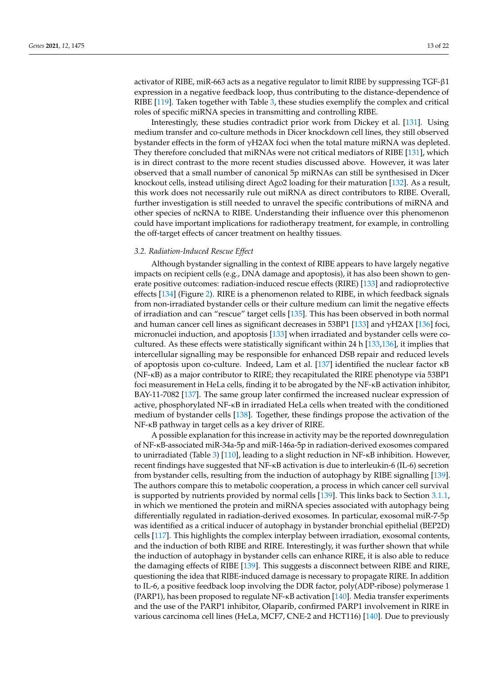activator of RIBE, miR-663 acts as a negative regulator to limit RIBE by suppressing TGF-β1 expression in a negative feedback loop, thus contributing to the distance-dependence of RIBE [\[119\]](#page-20-2). Taken together with Table [3,](#page-11-0) these studies exemplify the complex and critical roles of specific miRNA species in transmitting and controlling RIBE.

Interestingly, these studies contradict prior work from Dickey et al. [\[131\]](#page-20-14). Using medium transfer and co-culture methods in Dicer knockdown cell lines, they still observed bystander effects in the form of γH2AX foci when the total mature miRNA was depleted. They therefore concluded that miRNAs were not critical mediators of RIBE [\[131\]](#page-20-14), which is in direct contrast to the more recent studies discussed above. However, it was later observed that a small number of canonical 5p miRNAs can still be synthesised in Dicer knockout cells, instead utilising direct Ago2 loading for their maturation [\[132\]](#page-20-15). As a result, this work does not necessarily rule out miRNA as direct contributors to RIBE. Overall, further investigation is still needed to unravel the specific contributions of miRNA and other species of ncRNA to RIBE. Understanding their influence over this phenomenon could have important implications for radiotherapy treatment, for example, in controlling the off-target effects of cancer treatment on healthy tissues.

### *3.2. Radiation-Induced Rescue Effect*

Although bystander signalling in the context of RIBE appears to have largely negative impacts on recipient cells (e.g., DNA damage and apoptosis), it has also been shown to generate positive outcomes: radiation-induced rescue effects (RIRE) [\[133\]](#page-20-16) and radioprotective effects [\[134\]](#page-20-17) (Figure [2\)](#page-9-0). RIRE is a phenomenon related to RIBE, in which feedback signals from non-irradiated bystander cells or their culture medium can limit the negative effects of irradiation and can "rescue" target cells [\[135\]](#page-20-18). This has been observed in both normal and human cancer cell lines as significant decreases in 53BP1 [\[133\]](#page-20-16) and  $\gamma$ H2AX [\[136\]](#page-20-19) foci, micronuclei induction, and apoptosis [\[133\]](#page-20-16) when irradiated and bystander cells were cocultured. As these effects were statistically significant within 24 h [\[133,](#page-20-16)[136\]](#page-20-19), it implies that intercellular signalling may be responsible for enhanced DSB repair and reduced levels of apoptosis upon co-culture. Indeed, Lam et al. [\[137\]](#page-20-20) identified the nuclear factor κB (NF-κB) as a major contributor to RIRE; they recapitulated the RIRE phenotype via 53BP1 foci measurement in HeLa cells, finding it to be abrogated by the NF-κB activation inhibitor, BAY-11-7082 [\[137\]](#page-20-20). The same group later confirmed the increased nuclear expression of active, phosphorylated NF-κB in irradiated HeLa cells when treated with the conditioned medium of bystander cells [\[138\]](#page-20-21). Together, these findings propose the activation of the NF-κB pathway in target cells as a key driver of RIRE.

A possible explanation for this increase in activity may be the reported downregulation of NF-κB-associated miR-34a-5p and miR-146a-5p in radiation-derived exosomes compared to unirradiated (Table [3\)](#page-11-0) [\[110\]](#page-19-11), leading to a slight reduction in NF-κB inhibition. However, recent findings have suggested that NF-κB activation is due to interleukin-6 (IL-6) secretion from bystander cells, resulting from the induction of autophagy by RIBE signalling [\[139\]](#page-20-22). The authors compare this to metabolic cooperation, a process in which cancer cell survival is supported by nutrients provided by normal cells [\[139\]](#page-20-22). This links back to Section [3.1.1,](#page-10-0) in which we mentioned the protein and miRNA species associated with autophagy being differentially regulated in radiation-derived exosomes. In particular, exosomal miR-7-5p was identified as a critical inducer of autophagy in bystander bronchial epithelial (BEP2D) cells [\[117\]](#page-20-0). This highlights the complex interplay between irradiation, exosomal contents, and the induction of both RIBE and RIRE. Interestingly, it was further shown that while the induction of autophagy in bystander cells can enhance RIRE, it is also able to reduce the damaging effects of RIBE [\[139\]](#page-20-22). This suggests a disconnect between RIBE and RIRE, questioning the idea that RIBE-induced damage is necessary to propagate RIRE. In addition to IL-6, a positive feedback loop involving the DDR factor, poly(ADP-ribose) polymerase 1 (PARP1), has been proposed to regulate NF-κB activation [\[140\]](#page-20-23). Media transfer experiments and the use of the PARP1 inhibitor, Olaparib, confirmed PARP1 involvement in RIRE in various carcinoma cell lines (HeLa, MCF7, CNE-2 and HCT116) [\[140\]](#page-20-23). Due to previously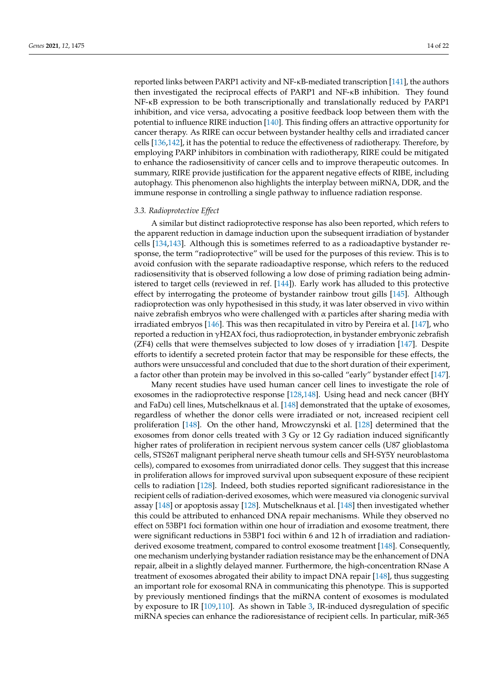reported links between PARP1 activity and NF-κB-mediated transcription [\[141\]](#page-20-24), the authors then investigated the reciprocal effects of PARP1 and NF-κB inhibition. They found NF-κB expression to be both transcriptionally and translationally reduced by PARP1 inhibition, and vice versa, advocating a positive feedback loop between them with the potential to influence RIRE induction [\[140\]](#page-20-23). This finding offers an attractive opportunity for cancer therapy. As RIRE can occur between bystander healthy cells and irradiated cancer cells [\[136,](#page-20-19)[142\]](#page-21-0), it has the potential to reduce the effectiveness of radiotherapy. Therefore, by employing PARP inhibitors in combination with radiotherapy, RIRE could be mitigated to enhance the radiosensitivity of cancer cells and to improve therapeutic outcomes. In summary, RIRE provide justification for the apparent negative effects of RIBE, including autophagy. This phenomenon also highlights the interplay between miRNA, DDR, and the immune response in controlling a single pathway to influence radiation response.

### *3.3. Radioprotective Effect*

A similar but distinct radioprotective response has also been reported, which refers to the apparent reduction in damage induction upon the subsequent irradiation of bystander cells [\[134,](#page-20-17)[143\]](#page-21-1). Although this is sometimes referred to as a radioadaptive bystander response, the term "radioprotective" will be used for the purposes of this review. This is to avoid confusion with the separate radioadaptive response, which refers to the reduced radiosensitivity that is observed following a low dose of priming radiation being administered to target cells (reviewed in ref. [\[144\]](#page-21-2)). Early work has alluded to this protective effect by interrogating the proteome of bystander rainbow trout gills [\[145\]](#page-21-3). Although radioprotection was only hypothesised in this study, it was later observed in vivo within naive zebrafish embryos who were challenged with  $\alpha$  particles after sharing media with irradiated embryos [\[146\]](#page-21-4). This was then recapitulated in vitro by Pereira et al. [\[147\]](#page-21-5), who reported a reduction in  $\gamma$ H2AX foci, thus radioprotection, in bystander embryonic zebrafish (ZF4) cells that were themselves subjected to low doses of  $\gamma$  irradiation [\[147\]](#page-21-5). Despite efforts to identify a secreted protein factor that may be responsible for these effects, the authors were unsuccessful and concluded that due to the short duration of their experiment, a factor other than protein may be involved in this so-called "early" bystander effect [\[147\]](#page-21-5).

Many recent studies have used human cancer cell lines to investigate the role of exosomes in the radioprotective response [\[128](#page-20-11)[,148\]](#page-21-6). Using head and neck cancer (BHY and FaDu) cell lines, Mutschelknaus et al. [\[148\]](#page-21-6) demonstrated that the uptake of exosomes, regardless of whether the donor cells were irradiated or not, increased recipient cell proliferation [\[148\]](#page-21-6). On the other hand, Mrowczynski et al. [\[128\]](#page-20-11) determined that the exosomes from donor cells treated with 3 Gy or 12 Gy radiation induced significantly higher rates of proliferation in recipient nervous system cancer cells (U87 glioblastoma cells, STS26T malignant peripheral nerve sheath tumour cells and SH-SY5Y neuroblastoma cells), compared to exosomes from unirradiated donor cells. They suggest that this increase in proliferation allows for improved survival upon subsequent exposure of these recipient cells to radiation [\[128\]](#page-20-11). Indeed, both studies reported significant radioresistance in the recipient cells of radiation-derived exosomes, which were measured via clonogenic survival assay [\[148\]](#page-21-6) or apoptosis assay [\[128\]](#page-20-11). Mutschelknaus et al. [\[148\]](#page-21-6) then investigated whether this could be attributed to enhanced DNA repair mechanisms. While they observed no effect on 53BP1 foci formation within one hour of irradiation and exosome treatment, there were significant reductions in 53BP1 foci within 6 and 12 h of irradiation and radiationderived exosome treatment, compared to control exosome treatment [\[148\]](#page-21-6). Consequently, one mechanism underlying bystander radiation resistance may be the enhancement of DNA repair, albeit in a slightly delayed manner. Furthermore, the high-concentration RNase A treatment of exosomes abrogated their ability to impact DNA repair [\[148\]](#page-21-6), thus suggesting an important role for exosomal RNA in communicating this phenotype. This is supported by previously mentioned findings that the miRNA content of exosomes is modulated by exposure to IR [\[109](#page-19-14)[,110\]](#page-19-11). As shown in Table [3,](#page-11-0) IR-induced dysregulation of specific miRNA species can enhance the radioresistance of recipient cells. In particular, miR-365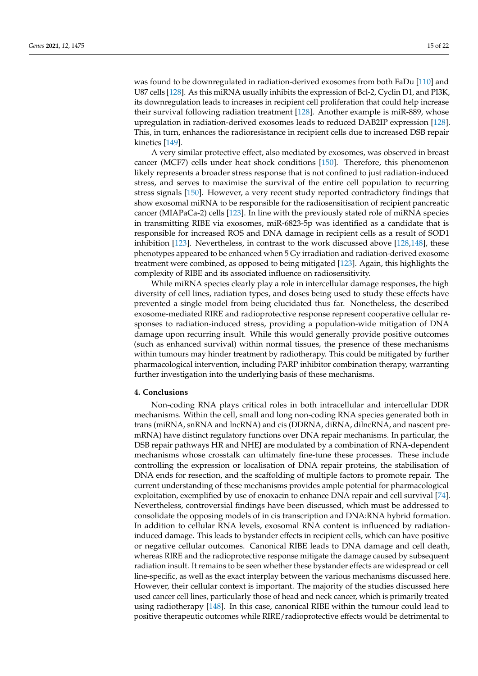was found to be downregulated in radiation-derived exosomes from both FaDu [\[110\]](#page-19-11) and U87 cells [\[128\]](#page-20-11). As this miRNA usually inhibits the expression of Bcl-2, Cyclin D1, and PI3K, its downregulation leads to increases in recipient cell proliferation that could help increase their survival following radiation treatment [\[128\]](#page-20-11). Another example is miR-889, whose upregulation in radiation-derived exosomes leads to reduced DAB2IP expression [\[128\]](#page-20-11). This, in turn, enhances the radioresistance in recipient cells due to increased DSB repair kinetics [\[149\]](#page-21-7).

A very similar protective effect, also mediated by exosomes, was observed in breast cancer (MCF7) cells under heat shock conditions [\[150\]](#page-21-8). Therefore, this phenomenon likely represents a broader stress response that is not confined to just radiation-induced stress, and serves to maximise the survival of the entire cell population to recurring stress signals [\[150\]](#page-21-8). However, a very recent study reported contradictory findings that show exosomal miRNA to be responsible for the radiosensitisation of recipient pancreatic cancer (MIAPaCa-2) cells [\[123\]](#page-20-6). In line with the previously stated role of miRNA species in transmitting RIBE via exosomes, miR-6823-5p was identified as a candidate that is responsible for increased ROS and DNA damage in recipient cells as a result of SOD1 inhibition [\[123\]](#page-20-6). Nevertheless, in contrast to the work discussed above [\[128](#page-20-11)[,148\]](#page-21-6), these phenotypes appeared to be enhanced when 5 Gy irradiation and radiation-derived exosome treatment were combined, as opposed to being mitigated [\[123\]](#page-20-6). Again, this highlights the complexity of RIBE and its associated influence on radiosensitivity.

While miRNA species clearly play a role in intercellular damage responses, the high diversity of cell lines, radiation types, and doses being used to study these effects have prevented a single model from being elucidated thus far. Nonetheless, the described exosome-mediated RIRE and radioprotective response represent cooperative cellular responses to radiation-induced stress, providing a population-wide mitigation of DNA damage upon recurring insult. While this would generally provide positive outcomes (such as enhanced survival) within normal tissues, the presence of these mechanisms within tumours may hinder treatment by radiotherapy. This could be mitigated by further pharmacological intervention, including PARP inhibitor combination therapy, warranting further investigation into the underlying basis of these mechanisms.

### **4. Conclusions**

Non-coding RNA plays critical roles in both intracellular and intercellular DDR mechanisms. Within the cell, small and long non-coding RNA species generated both in trans (miRNA, snRNA and lncRNA) and cis (DDRNA, diRNA, dilncRNA, and nascent premRNA) have distinct regulatory functions over DNA repair mechanisms. In particular, the DSB repair pathways HR and NHEJ are modulated by a combination of RNA-dependent mechanisms whose crosstalk can ultimately fine-tune these processes. These include controlling the expression or localisation of DNA repair proteins, the stabilisation of DNA ends for resection, and the scaffolding of multiple factors to promote repair. The current understanding of these mechanisms provides ample potential for pharmacological exploitation, exemplified by use of enoxacin to enhance DNA repair and cell survival [\[74\]](#page-18-4). Nevertheless, controversial findings have been discussed, which must be addressed to consolidate the opposing models of in cis transcription and DNA:RNA hybrid formation. In addition to cellular RNA levels, exosomal RNA content is influenced by radiationinduced damage. This leads to bystander effects in recipient cells, which can have positive or negative cellular outcomes. Canonical RIBE leads to DNA damage and cell death, whereas RIRE and the radioprotective response mitigate the damage caused by subsequent radiation insult. It remains to be seen whether these bystander effects are widespread or cell line-specific, as well as the exact interplay between the various mechanisms discussed here. However, their cellular context is important. The majority of the studies discussed here used cancer cell lines, particularly those of head and neck cancer, which is primarily treated using radiotherapy [\[148\]](#page-21-6). In this case, canonical RIBE within the tumour could lead to positive therapeutic outcomes while RIRE/radioprotective effects would be detrimental to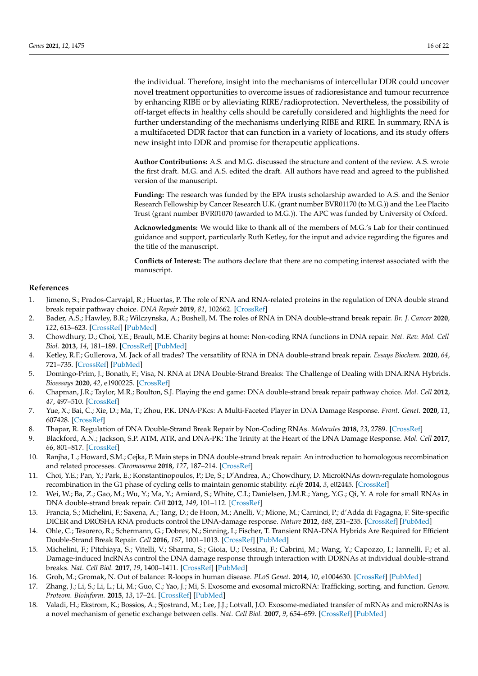the individual. Therefore, insight into the mechanisms of intercellular DDR could uncover novel treatment opportunities to overcome issues of radioresistance and tumour recurrence by enhancing RIBE or by alleviating RIRE/radioprotection. Nevertheless, the possibility of off-target effects in healthy cells should be carefully considered and highlights the need for further understanding of the mechanisms underlying RIBE and RIRE. In summary, RNA is a multifaceted DDR factor that can function in a variety of locations, and its study offers new insight into DDR and promise for therapeutic applications.

**Author Contributions:** A.S. and M.G. discussed the structure and content of the review. A.S. wrote the first draft. M.G. and A.S. edited the draft. All authors have read and agreed to the published version of the manuscript.

**Funding:** The research was funded by the EPA trusts scholarship awarded to A.S. and the Senior Research Fellowship by Cancer Research U.K. (grant number BVR01170 (to M.G.)) and the Lee Placito Trust (grant number BVR01070 (awarded to M.G.)). The APC was funded by University of Oxford.

**Acknowledgments:** We would like to thank all of the members of M.G.'s Lab for their continued guidance and support, particularly Ruth Ketley, for the input and advice regarding the figures and the title of the manuscript.

**Conflicts of Interest:** The authors declare that there are no competing interest associated with the manuscript.

### **References**

- <span id="page-15-0"></span>1. Jimeno, S.; Prados-Carvajal, R.; Huertas, P. The role of RNA and RNA-related proteins in the regulation of DNA double strand break repair pathway choice. *DNA Repair* **2019**, *81*, 102662. [\[CrossRef\]](http://doi.org/10.1016/j.dnarep.2019.102662)
- <span id="page-15-1"></span>2. Bader, A.S.; Hawley, B.R.; Wilczynska, A.; Bushell, M. The roles of RNA in DNA double-strand break repair. *Br. J. Cancer* **2020**, *122*, 613–623. [\[CrossRef\]](http://doi.org/10.1038/s41416-019-0624-1) [\[PubMed\]](http://www.ncbi.nlm.nih.gov/pubmed/31894141)
- <span id="page-15-2"></span>3. Chowdhury, D.; Choi, Y.E.; Brault, M.E. Charity begins at home: Non-coding RNA functions in DNA repair. *Nat. Rev. Mol. Cell Biol.* **2013**, *14*, 181–189. [\[CrossRef\]](http://doi.org/10.1038/nrm3523) [\[PubMed\]](http://www.ncbi.nlm.nih.gov/pubmed/23385724)
- <span id="page-15-3"></span>4. Ketley, R.F.; Gullerova, M. Jack of all trades? The versatility of RNA in DNA double-strand break repair. *Essays Biochem.* **2020**, *64*, 721–735. [\[CrossRef\]](http://doi.org/10.1042/EBC20200008) [\[PubMed\]](http://www.ncbi.nlm.nih.gov/pubmed/32618336)
- <span id="page-15-4"></span>5. Domingo-Prim, J.; Bonath, F.; Visa, N. RNA at DNA Double-Strand Breaks: The Challenge of Dealing with DNA:RNA Hybrids. *Bioessays* **2020**, *42*, e1900225. [\[CrossRef\]](http://doi.org/10.1002/bies.201900225)
- <span id="page-15-5"></span>6. Chapman, J.R.; Taylor, M.R.; Boulton, S.J. Playing the end game: DNA double-strand break repair pathway choice. *Mol. Cell* **2012**, *47*, 497–510. [\[CrossRef\]](http://doi.org/10.1016/j.molcel.2012.07.029)
- <span id="page-15-6"></span>7. Yue, X.; Bai, C.; Xie, D.; Ma, T.; Zhou, P.K. DNA-PKcs: A Multi-Faceted Player in DNA Damage Response. *Front. Genet.* **2020**, *11*, 607428. [\[CrossRef\]](http://doi.org/10.3389/fgene.2020.607428)
- <span id="page-15-8"></span>8. Thapar, R. Regulation of DNA Double-Strand Break Repair by Non-Coding RNAs. *Molecules* **2018**, *23*, 2789. [\[CrossRef\]](http://doi.org/10.3390/molecules23112789)
- 9. Blackford, A.N.; Jackson, S.P. ATM, ATR, and DNA-PK: The Trinity at the Heart of the DNA Damage Response. *Mol. Cell* **2017**, *66*, 801–817. [\[CrossRef\]](http://doi.org/10.1016/j.molcel.2017.05.015)
- <span id="page-15-7"></span>10. Ranjha, L.; Howard, S.M.; Cejka, P. Main steps in DNA double-strand break repair: An introduction to homologous recombination and related processes. *Chromosoma* **2018**, *127*, 187–214. [\[CrossRef\]](http://doi.org/10.1007/s00412-017-0658-1)
- <span id="page-15-9"></span>11. Choi, Y.E.; Pan, Y.; Park, E.; Konstantinopoulos, P.; De, S.; D'Andrea, A.; Chowdhury, D. MicroRNAs down-regulate homologous recombination in the G1 phase of cycling cells to maintain genomic stability. *eLife* **2014**, *3*, e02445. [\[CrossRef\]](http://doi.org/10.7554/eLife.02445)
- <span id="page-15-14"></span>12. Wei, W.; Ba, Z.; Gao, M.; Wu, Y.; Ma, Y.; Amiard, S.; White, C.I.; Danielsen, J.M.R.; Yang, Y.G.; Qi, Y. A role for small RNAs in DNA double-strand break repair. *Cell* **2012**, *149*, 101–112. [\[CrossRef\]](http://doi.org/10.1016/j.cell.2012.03.002)
- <span id="page-15-16"></span>13. Francia, S.; Michelini, F.; Saxena, A.; Tang, D.; de Hoon, M.; Anelli, V.; Mione, M.; Carninci, P.; d'Adda di Fagagna, F. Site-specific DICER and DROSHA RNA products control the DNA-damage response. *Nature* **2012**, *488*, 231–235. [\[CrossRef\]](http://doi.org/10.1038/nature11179) [\[PubMed\]](http://www.ncbi.nlm.nih.gov/pubmed/22722852)
- <span id="page-15-15"></span>14. Ohle, C.; Tesorero, R.; Schermann, G.; Dobrev, N.; Sinning, I.; Fischer, T. Transient RNA-DNA Hybrids Are Required for Efficient Double-Strand Break Repair. *Cell* **2016**, *167*, 1001–1013. [\[CrossRef\]](http://doi.org/10.1016/j.cell.2016.10.001) [\[PubMed\]](http://www.ncbi.nlm.nih.gov/pubmed/27881299)
- <span id="page-15-10"></span>15. Michelini, F.; Pitchiaya, S.; Vitelli, V.; Sharma, S.; Gioia, U.; Pessina, F.; Cabrini, M.; Wang, Y.; Capozzo, I.; Iannelli, F.; et al. Damage-induced lncRNAs control the DNA damage response through interaction with DDRNAs at individual double-strand breaks. *Nat. Cell Biol.* **2017**, *19*, 1400–1411. [\[CrossRef\]](http://doi.org/10.1038/ncb3643) [\[PubMed\]](http://www.ncbi.nlm.nih.gov/pubmed/29180822)
- <span id="page-15-11"></span>16. Groh, M.; Gromak, N. Out of balance: R-loops in human disease. *PLoS Genet.* **2014**, *10*, e1004630. [\[CrossRef\]](http://doi.org/10.1371/journal.pgen.1004630) [\[PubMed\]](http://www.ncbi.nlm.nih.gov/pubmed/25233079)
- <span id="page-15-12"></span>17. Zhang, J.; Li, S.; Li, L.; Li, M.; Guo, C.; Yao, J.; Mi, S. Exosome and exosomal microRNA: Trafficking, sorting, and function. *Genom. Proteom. Bioinform.* **2015**, *13*, 17–24. [\[CrossRef\]](http://doi.org/10.1016/j.gpb.2015.02.001) [\[PubMed\]](http://www.ncbi.nlm.nih.gov/pubmed/25724326)
- <span id="page-15-13"></span>18. Valadi, H.; Ekstrom, K.; Bossios, A.; Sjostrand, M.; Lee, J.J.; Lotvall, J.O. Exosome-mediated transfer of mRNAs and microRNAs is a novel mechanism of genetic exchange between cells. *Nat. Cell Biol.* **2007**, *9*, 654–659. [\[CrossRef\]](http://doi.org/10.1038/ncb1596) [\[PubMed\]](http://www.ncbi.nlm.nih.gov/pubmed/17486113)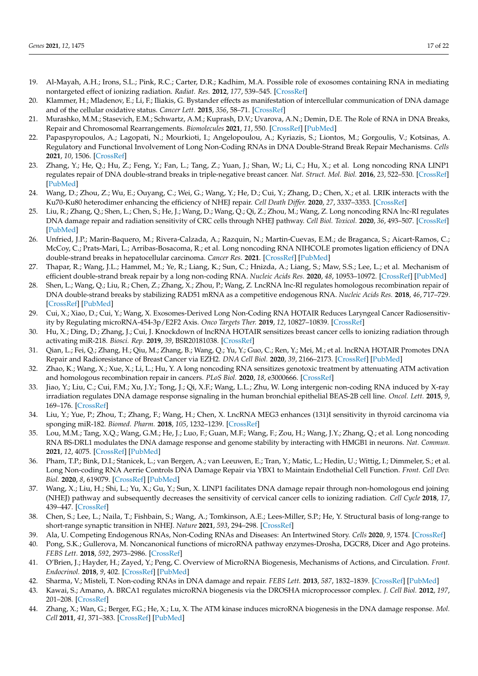- <span id="page-16-0"></span>19. Al-Mayah, A.H.; Irons, S.L.; Pink, R.C.; Carter, D.R.; Kadhim, M.A. Possible role of exosomes containing RNA in mediating nontargeted effect of ionizing radiation. *Radiat. Res.* **2012**, *177*, 539–545. [\[CrossRef\]](http://doi.org/10.1667/RR2868.1)
- <span id="page-16-1"></span>20. Klammer, H.; Mladenov, E.; Li, F.; Iliakis, G. Bystander effects as manifestation of intercellular communication of DNA damage and of the cellular oxidative status. *Cancer Lett.* **2015**, *356*, 58–71. [\[CrossRef\]](http://doi.org/10.1016/j.canlet.2013.12.017)
- <span id="page-16-2"></span>21. Murashko, M.M.; Stasevich, E.M.; Schwartz, A.M.; Kuprash, D.V.; Uvarova, A.N.; Demin, D.E. The Role of RNA in DNA Breaks, Repair and Chromosomal Rearrangements. *Biomolecules* **2021**, *11*, 550. [\[CrossRef\]](http://doi.org/10.3390/biom11040550) [\[PubMed\]](http://www.ncbi.nlm.nih.gov/pubmed/33918762)
- <span id="page-16-3"></span>22. Papaspyropoulos, A.; Lagopati, N.; Mourkioti, I.; Angelopoulou, A.; Kyriazis, S.; Liontos, M.; Gorgoulis, V.; Kotsinas, A. Regulatory and Functional Involvement of Long Non-Coding RNAs in DNA Double-Strand Break Repair Mechanisms. *Cells* **2021**, *10*, 1506. [\[CrossRef\]](http://doi.org/10.3390/cells10061506)
- <span id="page-16-4"></span>23. Zhang, Y.; He, Q.; Hu, Z.; Feng, Y.; Fan, L.; Tang, Z.; Yuan, J.; Shan, W.; Li, C.; Hu, X.; et al. Long noncoding RNA LINP1 regulates repair of DNA double-strand breaks in triple-negative breast cancer. *Nat. Struct. Mol. Biol.* **2016**, *23*, 522–530. [\[CrossRef\]](http://doi.org/10.1038/nsmb.3211) [\[PubMed\]](http://www.ncbi.nlm.nih.gov/pubmed/27111890)
- <span id="page-16-5"></span>24. Wang, D.; Zhou, Z.; Wu, E.; Ouyang, C.; Wei, G.; Wang, Y.; He, D.; Cui, Y.; Zhang, D.; Chen, X.; et al. LRIK interacts with the Ku70-Ku80 heterodimer enhancing the efficiency of NHEJ repair. *Cell Death Differ.* **2020**, *27*, 3337–3353. [\[CrossRef\]](http://doi.org/10.1038/s41418-020-0581-5)
- <span id="page-16-6"></span>25. Liu, R.; Zhang, Q.; Shen, L.; Chen, S.; He, J.; Wang, D.; Wang, Q.; Qi, Z.; Zhou, M.; Wang, Z. Long noncoding RNA lnc-RI regulates DNA damage repair and radiation sensitivity of CRC cells through NHEJ pathway. *Cell Biol. Toxicol.* **2020**, *36*, 493–507. [\[CrossRef\]](http://doi.org/10.1007/s10565-020-09524-6) [\[PubMed\]](http://www.ncbi.nlm.nih.gov/pubmed/32279126)
- <span id="page-16-7"></span>26. Unfried, J.P.; Marin-Baquero, M.; Rivera-Calzada, A.; Razquin, N.; Martin-Cuevas, E.M.; de Braganca, S.; Aicart-Ramos, C.; McCoy, C.; Prats-Mari, L.; Arribas-Bosacoma, R.; et al. Long noncoding RNA NIHCOLE promotes ligation efficiency of DNA double-strand breaks in hepatocellular carcinoma. *Cancer Res.* **2021**. [\[CrossRef\]](http://doi.org/10.1158/0008-5472.CAN-21-0463) [\[PubMed\]](http://www.ncbi.nlm.nih.gov/pubmed/34321241)
- <span id="page-16-8"></span>27. Thapar, R.; Wang, J.L.; Hammel, M.; Ye, R.; Liang, K.; Sun, C.; Hnizda, A.; Liang, S.; Maw, S.S.; Lee, L.; et al. Mechanism of efficient double-strand break repair by a long non-coding RNA. *Nucleic Acids Res.* **2020**, *48*, 10953–10972. [\[CrossRef\]](http://doi.org/10.1093/nar/gkaa784) [\[PubMed\]](http://www.ncbi.nlm.nih.gov/pubmed/33045735)
- <span id="page-16-9"></span>28. Shen, L.; Wang, Q.; Liu, R.; Chen, Z.; Zhang, X.; Zhou, P.; Wang, Z. LncRNA lnc-RI regulates homologous recombination repair of DNA double-strand breaks by stabilizing RAD51 mRNA as a competitive endogenous RNA. *Nucleic Acids Res.* **2018**, *46*, 717–729. [\[CrossRef\]](http://doi.org/10.1093/nar/gkx1224) [\[PubMed\]](http://www.ncbi.nlm.nih.gov/pubmed/29216366)
- <span id="page-16-10"></span>29. Cui, X.; Xiao, D.; Cui, Y.; Wang, X. Exosomes-Derived Long Non-Coding RNA HOTAIR Reduces Laryngeal Cancer Radiosensitivity by Regulating microRNA-454-3p/E2F2 Axis. *Onco Targets Ther.* **2019**, *12*, 10827–10839. [\[CrossRef\]](http://doi.org/10.2147/OTT.S224881)
- 30. Hu, X.; Ding, D.; Zhang, J.; Cui, J. Knockdown of lncRNA HOTAIR sensitizes breast cancer cells to ionizing radiation through activating miR-218. *Biosci. Rep.* **2019**, *39*, BSR20181038. [\[CrossRef\]](http://doi.org/10.1042/BSR20181038)
- <span id="page-16-11"></span>31. Qian, L.; Fei, Q.; Zhang, H.; Qiu, M.; Zhang, B.; Wang, Q.; Yu, Y.; Guo, C.; Ren, Y.; Mei, M.; et al. lncRNA HOTAIR Promotes DNA Repair and Radioresistance of Breast Cancer via EZH2. *DNA Cell Biol.* **2020**, *39*, 2166–2173. [\[CrossRef\]](http://doi.org/10.1089/dna.2020.5771) [\[PubMed\]](http://www.ncbi.nlm.nih.gov/pubmed/33136445)
- <span id="page-16-12"></span>32. Zhao, K.; Wang, X.; Xue, X.; Li, L.; Hu, Y. A long noncoding RNA sensitizes genotoxic treatment by attenuating ATM activation and homologous recombination repair in cancers. *PLoS Biol.* **2020**, *18*, e3000666. [\[CrossRef\]](http://doi.org/10.1371/journal.pbio.3000666)
- <span id="page-16-13"></span>33. Jiao, Y.; Liu, C.; Cui, F.M.; Xu, J.Y.; Tong, J.; Qi, X.F.; Wang, L.L.; Zhu, W. Long intergenic non-coding RNA induced by X-ray irradiation regulates DNA damage response signaling in the human bronchial epithelial BEAS-2B cell line. *Oncol. Lett.* **2015**, *9*, 169–176. [\[CrossRef\]](http://doi.org/10.3892/ol.2014.2622)
- <span id="page-16-14"></span>34. Liu, Y.; Yue, P.; Zhou, T.; Zhang, F.; Wang, H.; Chen, X. LncRNA MEG3 enhances (131)I sensitivity in thyroid carcinoma via sponging miR-182. *Biomed. Pharm.* **2018**, *105*, 1232–1239. [\[CrossRef\]](http://doi.org/10.1016/j.biopha.2018.06.087)
- <span id="page-16-15"></span>35. Lou, M.M.; Tang, X.Q.; Wang, G.M.; He, J.; Luo, F.; Guan, M.F.; Wang, F.; Zou, H.; Wang, J.Y.; Zhang, Q.; et al. Long noncoding RNA BS-DRL1 modulates the DNA damage response and genome stability by interacting with HMGB1 in neurons. *Nat. Commun.* **2021**, *12*, 4075. [\[CrossRef\]](http://doi.org/10.1038/s41467-021-24236-z) [\[PubMed\]](http://www.ncbi.nlm.nih.gov/pubmed/34210972)
- <span id="page-16-16"></span>36. Pham, T.P.; Bink, D.I.; Stanicek, L.; van Bergen, A.; van Leeuwen, E.; Tran, Y.; Matic, L.; Hedin, U.; Wittig, I.; Dimmeler, S.; et al. Long Non-coding RNA Aerrie Controls DNA Damage Repair via YBX1 to Maintain Endothelial Cell Function. *Front. Cell Dev. Biol.* **2020**, *8*, 619079. [\[CrossRef\]](http://doi.org/10.3389/fcell.2020.619079) [\[PubMed\]](http://www.ncbi.nlm.nih.gov/pubmed/33505972)
- <span id="page-16-17"></span>37. Wang, X.; Liu, H.; Shi, L.; Yu, X.; Gu, Y.; Sun, X. LINP1 facilitates DNA damage repair through non-homologous end joining (NHEJ) pathway and subsequently decreases the sensitivity of cervical cancer cells to ionizing radiation. *Cell Cycle* **2018**, *17*, 439–447. [\[CrossRef\]](http://doi.org/10.1080/15384101.2018.1442625)
- <span id="page-16-18"></span>38. Chen, S.; Lee, L.; Naila, T.; Fishbain, S.; Wang, A.; Tomkinson, A.E.; Lees-Miller, S.P.; He, Y. Structural basis of long-range to short-range synaptic transition in NHEJ. *Nature* **2021**, *593*, 294–298. [\[CrossRef\]](http://doi.org/10.1038/s41586-021-03458-7)
- <span id="page-16-19"></span>39. Ala, U. Competing Endogenous RNAs, Non-Coding RNAs and Diseases: An Intertwined Story. *Cells* **2020**, *9*, 1574. [\[CrossRef\]](http://doi.org/10.3390/cells9071574)
- <span id="page-16-20"></span>40. Pong, S.K.; Gullerova, M. Noncanonical functions of microRNA pathway enzymes-Drosha, DGCR8, Dicer and Ago proteins. *FEBS Lett.* **2018**, *592*, 2973–2986. [\[CrossRef\]](http://doi.org/10.1002/1873-3468.13196)
- <span id="page-16-21"></span>41. O'Brien, J.; Hayder, H.; Zayed, Y.; Peng, C. Overview of MicroRNA Biogenesis, Mechanisms of Actions, and Circulation. *Front. Endocrinol.* **2018**, *9*, 402. [\[CrossRef\]](http://doi.org/10.3389/fendo.2018.00402) [\[PubMed\]](http://www.ncbi.nlm.nih.gov/pubmed/30123182)
- <span id="page-16-22"></span>42. Sharma, V.; Misteli, T. Non-coding RNAs in DNA damage and repair. *FEBS Lett.* **2013**, *587*, 1832–1839. [\[CrossRef\]](http://doi.org/10.1016/j.febslet.2013.05.006) [\[PubMed\]](http://www.ncbi.nlm.nih.gov/pubmed/23684639)
- <span id="page-16-23"></span>43. Kawai, S.; Amano, A. BRCA1 regulates microRNA biogenesis via the DROSHA microprocessor complex. *J. Cell Biol.* **2012**, *197*, 201–208. [\[CrossRef\]](http://doi.org/10.1083/jcb.201110008)
- <span id="page-16-24"></span>44. Zhang, X.; Wan, G.; Berger, F.G.; He, X.; Lu, X. The ATM kinase induces microRNA biogenesis in the DNA damage response. *Mol. Cell* **2011**, *41*, 371–383. [\[CrossRef\]](http://doi.org/10.1016/j.molcel.2011.01.020) [\[PubMed\]](http://www.ncbi.nlm.nih.gov/pubmed/21329876)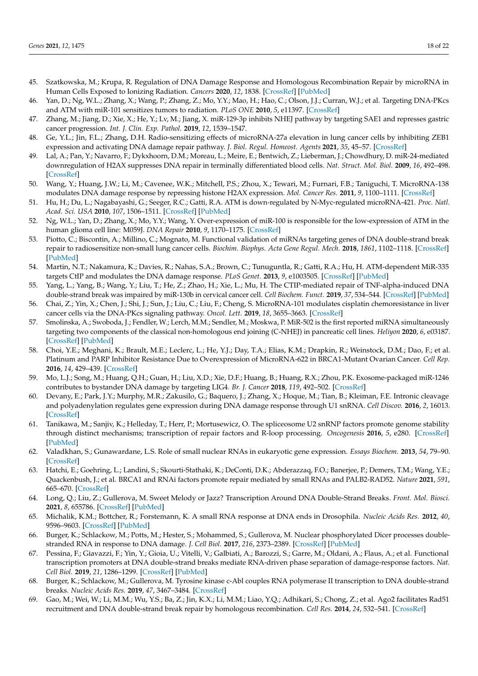- <span id="page-17-0"></span>45. Szatkowska, M.; Krupa, R. Regulation of DNA Damage Response and Homologous Recombination Repair by microRNA in Human Cells Exposed to Ionizing Radiation. *Cancers* **2020**, *12*, 1838. [\[CrossRef\]](http://doi.org/10.3390/cancers12071838) [\[PubMed\]](http://www.ncbi.nlm.nih.gov/pubmed/32650508)
- <span id="page-17-1"></span>46. Yan, D.; Ng, W.L.; Zhang, X.; Wang, P.; Zhang, Z.; Mo, Y.Y.; Mao, H.; Hao, C.; Olson, J.J.; Curran, W.J.; et al. Targeting DNA-PKcs and ATM with miR-101 sensitizes tumors to radiation. *PLoS ONE* **2010**, *5*, e11397. [\[CrossRef\]](http://doi.org/10.1371/journal.pone.0011397)
- <span id="page-17-2"></span>47. Zhang, M.; Jiang, D.; Xie, X.; He, Y.; Lv, M.; Jiang, X. miR-129-3p inhibits NHEJ pathway by targeting SAE1 and represses gastric cancer progression. *Int. J. Clin. Exp. Pathol.* **2019**, *12*, 1539–1547.
- <span id="page-17-3"></span>48. Ge, Y.L.; Jin, F.L.; Zhang, D.H. Radio-sensitizing effects of microRNA-27a elevation in lung cancer cells by inhibiting ZEB1 expression and activating DNA damage repair pathway. *J. Biol. Regul. Homeost. Agents* **2021**, *35*, 45–57. [\[CrossRef\]](http://doi.org/10.23812/20-502-A)
- <span id="page-17-4"></span>49. Lal, A.; Pan, Y.; Navarro, F.; Dykxhoorn, D.M.; Moreau, L.; Meire, E.; Bentwich, Z.; Lieberman, J.; Chowdhury, D. miR-24-mediated downregulation of H2AX suppresses DNA repair in terminally differentiated blood cells. *Nat. Struct. Mol. Biol.* **2009**, *16*, 492–498. [\[CrossRef\]](http://doi.org/10.1038/nsmb.1589)
- <span id="page-17-5"></span>50. Wang, Y.; Huang, J.W.; Li, M.; Cavenee, W.K.; Mitchell, P.S.; Zhou, X.; Tewari, M.; Furnari, F.B.; Taniguchi, T. MicroRNA-138 modulates DNA damage response by repressing histone H2AX expression. *Mol. Cancer Res.* **2011**, *9*, 1100–1111. [\[CrossRef\]](http://doi.org/10.1158/1541-7786.MCR-11-0007)
- <span id="page-17-6"></span>51. Hu, H.; Du, L.; Nagabayashi, G.; Seeger, R.C.; Gatti, R.A. ATM is down-regulated by N-Myc-regulated microRNA-421. *Proc. Natl. Acad. Sci. USA* **2010**, *107*, 1506–1511. [\[CrossRef\]](http://doi.org/10.1073/pnas.0907763107) [\[PubMed\]](http://www.ncbi.nlm.nih.gov/pubmed/20080624)
- <span id="page-17-7"></span>52. Ng, W.L.; Yan, D.; Zhang, X.; Mo, Y.Y.; Wang, Y. Over-expression of miR-100 is responsible for the low-expression of ATM in the human glioma cell line: M059J. *DNA Repair* **2010**, *9*, 1170–1175. [\[CrossRef\]](http://doi.org/10.1016/j.dnarep.2010.08.007)
- <span id="page-17-8"></span>53. Piotto, C.; Biscontin, A.; Millino, C.; Mognato, M. Functional validation of miRNAs targeting genes of DNA double-strand break repair to radiosensitize non-small lung cancer cells. *Biochim. Biophys. Acta Gene Regul. Mech.* **2018**, *1861*, 1102–1118. [\[CrossRef\]](http://doi.org/10.1016/j.bbagrm.2018.10.010) [\[PubMed\]](http://www.ncbi.nlm.nih.gov/pubmed/30389599)
- <span id="page-17-9"></span>54. Martin, N.T.; Nakamura, K.; Davies, R.; Nahas, S.A.; Brown, C.; Tunuguntla, R.; Gatti, R.A.; Hu, H. ATM-dependent MiR-335 targets CtIP and modulates the DNA damage response. *PLoS Genet.* **2013**, *9*, e1003505. [\[CrossRef\]](http://doi.org/10.1371/journal.pgen.1003505) [\[PubMed\]](http://www.ncbi.nlm.nih.gov/pubmed/23696749)
- <span id="page-17-10"></span>55. Yang, L.; Yang, B.; Wang, Y.; Liu, T.; He, Z.; Zhao, H.; Xie, L.; Mu, H. The CTIP-mediated repair of TNF-alpha-induced DNA double-strand break was impaired by miR-130b in cervical cancer cell. *Cell Biochem. Funct.* **2019**, *37*, 534–544. [\[CrossRef\]](http://doi.org/10.1002/cbf.3430) [\[PubMed\]](http://www.ncbi.nlm.nih.gov/pubmed/31418900)
- <span id="page-17-11"></span>56. Chai, Z.; Yin, X.; Chen, J.; Shi, J.; Sun, J.; Liu, C.; Liu, F.; Cheng, S. MicroRNA-101 modulates cisplatin chemoresistance in liver cancer cells via the DNA-PKcs signaling pathway. *Oncol. Lett.* **2019**, *18*, 3655–3663. [\[CrossRef\]](http://doi.org/10.3892/ol.2019.10674)
- <span id="page-17-12"></span>57. Smolinska, A.; Swoboda, J.; Fendler, W.; Lerch, M.M.; Sendler, M.; Moskwa, P. MiR-502 is the first reported miRNA simultaneously targeting two components of the classical non-homologous end joining (C-NHEJ) in pancreatic cell lines. *Heliyon* **2020**, *6*, e03187. [\[CrossRef\]](http://doi.org/10.1016/j.heliyon.2020.e03187) [\[PubMed\]](http://www.ncbi.nlm.nih.gov/pubmed/32042960)
- <span id="page-17-13"></span>58. Choi, Y.E.; Meghani, K.; Brault, M.E.; Leclerc, L.; He, Y.J.; Day, T.A.; Elias, K.M.; Drapkin, R.; Weinstock, D.M.; Dao, F.; et al. Platinum and PARP Inhibitor Resistance Due to Overexpression of MicroRNA-622 in BRCA1-Mutant Ovarian Cancer. *Cell Rep.* **2016**, *14*, 429–439. [\[CrossRef\]](http://doi.org/10.1016/j.celrep.2015.12.046)
- <span id="page-17-14"></span>59. Mo, L.J.; Song, M.; Huang, Q.H.; Guan, H.; Liu, X.D.; Xie, D.F.; Huang, B.; Huang, R.X.; Zhou, P.K. Exosome-packaged miR-1246 contributes to bystander DNA damage by targeting LIG4. *Br. J. Cancer* **2018**, *119*, 492–502. [\[CrossRef\]](http://doi.org/10.1038/s41416-018-0192-9)
- <span id="page-17-15"></span>60. Devany, E.; Park, J.Y.; Murphy, M.R.; Zakusilo, G.; Baquero, J.; Zhang, X.; Hoque, M.; Tian, B.; Kleiman, F.E. Intronic cleavage and polyadenylation regulates gene expression during DNA damage response through U1 snRNA. *Cell Discov.* **2016**, *2*, 16013. [\[CrossRef\]](http://doi.org/10.1038/celldisc.2016.13)
- <span id="page-17-16"></span>61. Tanikawa, M.; Sanjiv, K.; Helleday, T.; Herr, P.; Mortusewicz, O. The spliceosome U2 snRNP factors promote genome stability through distinct mechanisms; transcription of repair factors and R-loop processing. *Oncogenesis* **2016**, *5*, e280. [\[CrossRef\]](http://doi.org/10.1038/oncsis.2016.70) [\[PubMed\]](http://www.ncbi.nlm.nih.gov/pubmed/27991914)
- <span id="page-17-17"></span>62. Valadkhan, S.; Gunawardane, L.S. Role of small nuclear RNAs in eukaryotic gene expression. *Essays Biochem.* **2013**, *54*, 79–90. [\[CrossRef\]](http://doi.org/10.1042/bse0540079)
- <span id="page-17-18"></span>63. Hatchi, E.; Goehring, L.; Landini, S.; Skourti-Stathaki, K.; DeConti, D.K.; Abderazzaq, F.O.; Banerjee, P.; Demers, T.M.; Wang, Y.E.; Quackenbush, J.; et al. BRCA1 and RNAi factors promote repair mediated by small RNAs and PALB2-RAD52. *Nature* **2021**, *591*, 665–670. [\[CrossRef\]](http://doi.org/10.1038/s41586-020-03150-2)
- <span id="page-17-19"></span>64. Long, Q.; Liu, Z.; Gullerova, M. Sweet Melody or Jazz? Transcription Around DNA Double-Strand Breaks. *Front. Mol. Biosci.* **2021**, *8*, 655786. [\[CrossRef\]](http://doi.org/10.3389/fmolb.2021.655786) [\[PubMed\]](http://www.ncbi.nlm.nih.gov/pubmed/33959637)
- <span id="page-17-20"></span>65. Michalik, K.M.; Bottcher, R.; Forstemann, K. A small RNA response at DNA ends in Drosophila. *Nucleic Acids Res.* **2012**, *40*, 9596–9603. [\[CrossRef\]](http://doi.org/10.1093/nar/gks711) [\[PubMed\]](http://www.ncbi.nlm.nih.gov/pubmed/22848104)
- <span id="page-17-21"></span>66. Burger, K.; Schlackow, M.; Potts, M.; Hester, S.; Mohammed, S.; Gullerova, M. Nuclear phosphorylated Dicer processes doublestranded RNA in response to DNA damage. *J. Cell Biol.* **2017**, *216*, 2373–2389. [\[CrossRef\]](http://doi.org/10.1083/jcb.201612131) [\[PubMed\]](http://www.ncbi.nlm.nih.gov/pubmed/28642363)
- <span id="page-17-22"></span>67. Pessina, F.; Giavazzi, F.; Yin, Y.; Gioia, U.; Vitelli, V.; Galbiati, A.; Barozzi, S.; Garre, M.; Oldani, A.; Flaus, A.; et al. Functional transcription promoters at DNA double-strand breaks mediate RNA-driven phase separation of damage-response factors. *Nat. Cell Biol.* **2019**, *21*, 1286–1299. [\[CrossRef\]](http://doi.org/10.1038/s41556-019-0392-4) [\[PubMed\]](http://www.ncbi.nlm.nih.gov/pubmed/31570834)
- <span id="page-17-23"></span>68. Burger, K.; Schlackow, M.; Gullerova, M. Tyrosine kinase c-Abl couples RNA polymerase II transcription to DNA double-strand breaks. *Nucleic Acids Res.* **2019**, *47*, 3467–3484. [\[CrossRef\]](http://doi.org/10.1093/nar/gkz024)
- <span id="page-17-24"></span>69. Gao, M.; Wei, W.; Li, M.M.; Wu, Y.S.; Ba, Z.; Jin, K.X.; Li, M.M.; Liao, Y.Q.; Adhikari, S.; Chong, Z.; et al. Ago2 facilitates Rad51 recruitment and DNA double-strand break repair by homologous recombination. *Cell Res.* **2014**, *24*, 532–541. [\[CrossRef\]](http://doi.org/10.1038/cr.2014.36)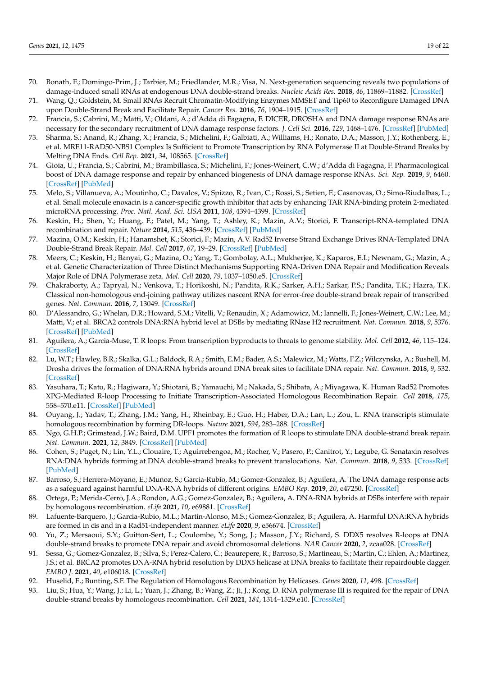- <span id="page-18-0"></span>70. Bonath, F.; Domingo-Prim, J.; Tarbier, M.; Friedlander, M.R.; Visa, N. Next-generation sequencing reveals two populations of damage-induced small RNAs at endogenous DNA double-strand breaks. *Nucleic Acids Res.* **2018**, *46*, 11869–11882. [\[CrossRef\]](http://doi.org/10.1093/nar/gky1107)
- <span id="page-18-1"></span>71. Wang, Q.; Goldstein, M. Small RNAs Recruit Chromatin-Modifying Enzymes MMSET and Tip60 to Reconfigure Damaged DNA upon Double-Strand Break and Facilitate Repair. *Cancer Res.* **2016**, *76*, 1904–1915. [\[CrossRef\]](http://doi.org/10.1158/0008-5472.CAN-15-2334)
- <span id="page-18-2"></span>72. Francia, S.; Cabrini, M.; Matti, V.; Oldani, A.; d'Adda di Fagagna, F. DICER, DROSHA and DNA damage response RNAs are necessary for the secondary recruitment of DNA damage response factors. *J. Cell Sci.* **2016**, *129*, 1468–1476. [\[CrossRef\]](http://doi.org/10.1242/jcs.182188) [\[PubMed\]](http://www.ncbi.nlm.nih.gov/pubmed/26906421)
- <span id="page-18-3"></span>73. Sharma, S.; Anand, R.; Zhang, X.; Francia, S.; Michelini, F.; Galbiati, A.; Williams, H.; Ronato, D.A.; Masson, J.Y.; Rothenberg, E.; et al. MRE11-RAD50-NBS1 Complex Is Sufficient to Promote Transcription by RNA Polymerase II at Double-Strand Breaks by Melting DNA Ends. *Cell Rep.* **2021**, *34*, 108565. [\[CrossRef\]](http://doi.org/10.1016/j.celrep.2020.108565)
- <span id="page-18-4"></span>74. Gioia, U.; Francia, S.; Cabrini, M.; Brambillasca, S.; Michelini, F.; Jones-Weinert, C.W.; d'Adda di Fagagna, F. Pharmacological boost of DNA damage response and repair by enhanced biogenesis of DNA damage response RNAs. *Sci. Rep.* **2019**, *9*, 6460. [\[CrossRef\]](http://doi.org/10.1038/s41598-019-42892-6) [\[PubMed\]](http://www.ncbi.nlm.nih.gov/pubmed/31015566)
- <span id="page-18-5"></span>75. Melo, S.; Villanueva, A.; Moutinho, C.; Davalos, V.; Spizzo, R.; Ivan, C.; Rossi, S.; Setien, F.; Casanovas, O.; Simo-Riudalbas, L.; et al. Small molecule enoxacin is a cancer-specific growth inhibitor that acts by enhancing TAR RNA-binding protein 2-mediated microRNA processing. *Proc. Natl. Acad. Sci. USA* **2011**, *108*, 4394–4399. [\[CrossRef\]](http://doi.org/10.1073/pnas.1014720108)
- <span id="page-18-6"></span>76. Keskin, H.; Shen, Y.; Huang, F.; Patel, M.; Yang, T.; Ashley, K.; Mazin, A.V.; Storici, F. Transcript-RNA-templated DNA recombination and repair. *Nature* **2014**, *515*, 436–439. [\[CrossRef\]](http://doi.org/10.1038/nature13682) [\[PubMed\]](http://www.ncbi.nlm.nih.gov/pubmed/25186730)
- <span id="page-18-8"></span>77. Mazina, O.M.; Keskin, H.; Hanamshet, K.; Storici, F.; Mazin, A.V. Rad52 Inverse Strand Exchange Drives RNA-Templated DNA Double-Strand Break Repair. *Mol. Cell* **2017**, *67*, 19–29. [\[CrossRef\]](http://doi.org/10.1016/j.molcel.2017.05.019) [\[PubMed\]](http://www.ncbi.nlm.nih.gov/pubmed/28602639)
- <span id="page-18-7"></span>78. Meers, C.; Keskin, H.; Banyai, G.; Mazina, O.; Yang, T.; Gombolay, A.L.; Mukherjee, K.; Kaparos, E.I.; Newnam, G.; Mazin, A.; et al. Genetic Characterization of Three Distinct Mechanisms Supporting RNA-Driven DNA Repair and Modification Reveals Major Role of DNA Polymerase zeta. *Mol. Cell* **2020**, *79*, 1037–1050.e5. [\[CrossRef\]](http://doi.org/10.1016/j.molcel.2020.08.011)
- <span id="page-18-9"></span>79. Chakraborty, A.; Tapryal, N.; Venkova, T.; Horikoshi, N.; Pandita, R.K.; Sarker, A.H.; Sarkar, P.S.; Pandita, T.K.; Hazra, T.K. Classical non-homologous end-joining pathway utilizes nascent RNA for error-free double-strand break repair of transcribed genes. *Nat. Commun.* **2016**, *7*, 13049. [\[CrossRef\]](http://doi.org/10.1038/ncomms13049)
- <span id="page-18-10"></span>80. D'Alessandro, G.; Whelan, D.R.; Howard, S.M.; Vitelli, V.; Renaudin, X.; Adamowicz, M.; Iannelli, F.; Jones-Weinert, C.W.; Lee, M.; Matti, V.; et al. BRCA2 controls DNA:RNA hybrid level at DSBs by mediating RNase H2 recruitment. *Nat. Commun.* **2018**, *9*, 5376. [\[CrossRef\]](http://doi.org/10.1038/s41467-018-07799-2) [\[PubMed\]](http://www.ncbi.nlm.nih.gov/pubmed/30560944)
- <span id="page-18-11"></span>81. Aguilera, A.; Garcia-Muse, T. R loops: From transcription byproducts to threats to genome stability. *Mol. Cell* **2012**, *46*, 115–124. [\[CrossRef\]](http://doi.org/10.1016/j.molcel.2012.04.009)
- <span id="page-18-12"></span>82. Lu, W.T.; Hawley, B.R.; Skalka, G.L.; Baldock, R.A.; Smith, E.M.; Bader, A.S.; Malewicz, M.; Watts, F.Z.; Wilczynska, A.; Bushell, M. Drosha drives the formation of DNA:RNA hybrids around DNA break sites to facilitate DNA repair. *Nat. Commun.* **2018**, *9*, 532. [\[CrossRef\]](http://doi.org/10.1038/s41467-018-02893-x)
- 83. Yasuhara, T.; Kato, R.; Hagiwara, Y.; Shiotani, B.; Yamauchi, M.; Nakada, S.; Shibata, A.; Miyagawa, K. Human Rad52 Promotes XPG-Mediated R-loop Processing to Initiate Transcription-Associated Homologous Recombination Repair. *Cell* **2018**, *175*, 558–570.e11. [\[CrossRef\]](http://doi.org/10.1016/j.cell.2018.08.056) [\[PubMed\]](http://www.ncbi.nlm.nih.gov/pubmed/30245011)
- <span id="page-18-17"></span>84. Ouyang, J.; Yadav, T.; Zhang, J.M.; Yang, H.; Rheinbay, E.; Guo, H.; Haber, D.A.; Lan, L.; Zou, L. RNA transcripts stimulate homologous recombination by forming DR-loops. *Nature* **2021**, *594*, 283–288. [\[CrossRef\]](http://doi.org/10.1038/s41586-021-03538-8)
- <span id="page-18-13"></span>85. Ngo, G.H.P.; Grimstead, J.W.; Baird, D.M. UPF1 promotes the formation of R loops to stimulate DNA double-strand break repair. *Nat. Commun.* **2021**, *12*, 3849. [\[CrossRef\]](http://doi.org/10.1038/s41467-021-24201-w) [\[PubMed\]](http://www.ncbi.nlm.nih.gov/pubmed/34158508)
- <span id="page-18-14"></span>86. Cohen, S.; Puget, N.; Lin, Y.L.; Clouaire, T.; Aguirrebengoa, M.; Rocher, V.; Pasero, P.; Canitrot, Y.; Legube, G. Senataxin resolves RNA:DNA hybrids forming at DNA double-strand breaks to prevent translocations. *Nat. Commun.* **2018**, *9*, 533. [\[CrossRef\]](http://doi.org/10.1038/s41467-018-02894-w) [\[PubMed\]](http://www.ncbi.nlm.nih.gov/pubmed/29416069)
- 87. Barroso, S.; Herrera-Moyano, E.; Munoz, S.; Garcia-Rubio, M.; Gomez-Gonzalez, B.; Aguilera, A. The DNA damage response acts as a safeguard against harmful DNA-RNA hybrids of different origins. *EMBO Rep.* **2019**, *20*, e47250. [\[CrossRef\]](http://doi.org/10.15252/embr.201847250)
- 88. Ortega, P.; Merida-Cerro, J.A.; Rondon, A.G.; Gomez-Gonzalez, B.; Aguilera, A. DNA-RNA hybrids at DSBs interfere with repair by homologous recombination. *eLife* **2021**, *10*, e69881. [\[CrossRef\]](http://doi.org/10.7554/eLife.69881)
- <span id="page-18-20"></span>89. Lafuente-Barquero, J.; Garcia-Rubio, M.L.; Martin-Alonso, M.S.; Gomez-Gonzalez, B.; Aguilera, A. Harmful DNA:RNA hybrids are formed in cis and in a Rad51-independent manner. *eLife* **2020**, *9*, e56674. [\[CrossRef\]](http://doi.org/10.7554/eLife.56674)
- <span id="page-18-15"></span>90. Yu, Z.; Mersaoui, S.Y.; Guitton-Sert, L.; Coulombe, Y.; Song, J.; Masson, J.Y.; Richard, S. DDX5 resolves R-loops at DNA double-strand breaks to promote DNA repair and avoid chromosomal deletions. *NAR Cancer* **2020**, *2*, zcaa028. [\[CrossRef\]](http://doi.org/10.1093/narcan/zcaa028)
- <span id="page-18-16"></span>91. Sessa, G.; Gomez-Gonzalez, B.; Silva, S.; Perez-Calero, C.; Beaurepere, R.; Barroso, S.; Martineau, S.; Martin, C.; Ehlen, A.; Martinez, J.S.; et al. BRCA2 promotes DNA-RNA hybrid resolution by DDX5 helicase at DNA breaks to facilitate their repairdouble dagger. *EMBO J.* **2021**, *40*, e106018. [\[CrossRef\]](http://doi.org/10.15252/embj.2020106018)
- <span id="page-18-18"></span>92. Huselid, E.; Bunting, S.F. The Regulation of Homologous Recombination by Helicases. *Genes* **2020**, *11*, 498. [\[CrossRef\]](http://doi.org/10.3390/genes11050498)
- <span id="page-18-19"></span>93. Liu, S.; Hua, Y.; Wang, J.; Li, L.; Yuan, J.; Zhang, B.; Wang, Z.; Ji, J.; Kong, D. RNA polymerase III is required for the repair of DNA double-strand breaks by homologous recombination. *Cell* **2021**, *184*, 1314–1329.e10. [\[CrossRef\]](http://doi.org/10.1016/j.cell.2021.01.048)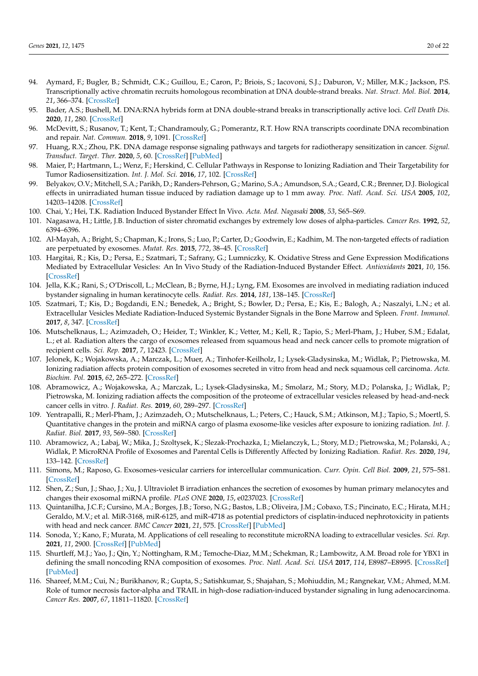- <span id="page-19-0"></span>94. Aymard, F.; Bugler, B.; Schmidt, C.K.; Guillou, E.; Caron, P.; Briois, S.; Iacovoni, S.J.; Daburon, V.; Miller, M.K.; Jackson, P.S. Transcriptionally active chromatin recruits homologous recombination at DNA double-strand breaks. *Nat. Struct. Mol. Biol.* **2014**, *21*, 366–374. [\[CrossRef\]](http://doi.org/10.1038/nsmb.2796)
- <span id="page-19-1"></span>95. Bader, A.S.; Bushell, M. DNA:RNA hybrids form at DNA double-strand breaks in transcriptionally active loci. *Cell Death Dis.* **2020**, *11*, 280. [\[CrossRef\]](http://doi.org/10.1038/s41419-020-2464-6)
- <span id="page-19-2"></span>96. McDevitt, S.; Rusanov, T.; Kent, T.; Chandramouly, G.; Pomerantz, R.T. How RNA transcripts coordinate DNA recombination and repair. *Nat. Commun.* **2018**, *9*, 1091. [\[CrossRef\]](http://doi.org/10.1038/s41467-018-03483-7)
- <span id="page-19-3"></span>97. Huang, R.X.; Zhou, P.K. DNA damage response signaling pathways and targets for radiotherapy sensitization in cancer. *Signal. Transduct. Target. Ther.* **2020**, *5*, 60. [\[CrossRef\]](http://doi.org/10.1038/s41392-020-0150-x) [\[PubMed\]](http://www.ncbi.nlm.nih.gov/pubmed/32355263)
- <span id="page-19-4"></span>98. Maier, P.; Hartmann, L.; Wenz, F.; Herskind, C. Cellular Pathways in Response to Ionizing Radiation and Their Targetability for Tumor Radiosensitization. *Int. J. Mol. Sci.* **2016**, *17*, 102. [\[CrossRef\]](http://doi.org/10.3390/ijms17010102)
- <span id="page-19-5"></span>99. Belyakov, O.V.; Mitchell, S.A.; Parikh, D.; Randers-Pehrson, G.; Marino, S.A.; Amundson, S.A.; Geard, C.R.; Brenner, D.J. Biological effects in unirradiated human tissue induced by radiation damage up to 1 mm away. *Proc. Natl. Acad. Sci. USA* **2005**, *102*, 14203–14208. [\[CrossRef\]](http://doi.org/10.1073/pnas.0505020102)
- <span id="page-19-6"></span>100. Chai, Y.; Hei, T.K. Radiation Induced Bystander Effect In Vivo. *Acta. Med. Nagasaki* **2008**, *53*, S65–S69.
- <span id="page-19-7"></span>101. Nagasawa, H.; Little, J.B. Induction of sister chromatid exchanges by extremely low doses of alpha-particles. *Cancer Res.* **1992**, *52*, 6394–6396.
- <span id="page-19-8"></span>102. Al-Mayah, A.; Bright, S.; Chapman, K.; Irons, S.; Luo, P.; Carter, D.; Goodwin, E.; Kadhim, M. The non-targeted effects of radiation are perpetuated by exosomes. *Mutat. Res.* **2015**, *772*, 38–45. [\[CrossRef\]](http://doi.org/10.1016/j.mrfmmm.2014.12.007)
- 103. Hargitai, R.; Kis, D.; Persa, E.; Szatmari, T.; Safrany, G.; Lumniczky, K. Oxidative Stress and Gene Expression Modifications Mediated by Extracellular Vesicles: An In Vivo Study of the Radiation-Induced Bystander Effect. *Antioxidants* **2021**, *10*, 156. [\[CrossRef\]](http://doi.org/10.3390/antiox10020156)
- 104. Jella, K.K.; Rani, S.; O'Driscoll, L.; McClean, B.; Byrne, H.J.; Lyng, F.M. Exosomes are involved in mediating radiation induced bystander signaling in human keratinocyte cells. *Radiat. Res.* **2014**, *181*, 138–145. [\[CrossRef\]](http://doi.org/10.1667/RR13337.1)
- <span id="page-19-9"></span>105. Szatmari, T.; Kis, D.; Bogdandi, E.N.; Benedek, A.; Bright, S.; Bowler, D.; Persa, E.; Kis, E.; Balogh, A.; Naszalyi, L.N.; et al. Extracellular Vesicles Mediate Radiation-Induced Systemic Bystander Signals in the Bone Marrow and Spleen. *Front. Immunol.* **2017**, *8*, 347. [\[CrossRef\]](http://doi.org/10.3389/fimmu.2017.00347)
- <span id="page-19-10"></span>106. Mutschelknaus, L.; Azimzadeh, O.; Heider, T.; Winkler, K.; Vetter, M.; Kell, R.; Tapio, S.; Merl-Pham, J.; Huber, S.M.; Edalat, L.; et al. Radiation alters the cargo of exosomes released from squamous head and neck cancer cells to promote migration of recipient cells. *Sci. Rep.* **2017**, *7*, 12423. [\[CrossRef\]](http://doi.org/10.1038/s41598-017-12403-6)
- <span id="page-19-12"></span>107. Jelonek, K.; Wojakowska, A.; Marczak, L.; Muer, A.; Tinhofer-Keilholz, I.; Lysek-Gladysinska, M.; Widlak, P.; Pietrowska, M. Ionizing radiation affects protein composition of exosomes secreted in vitro from head and neck squamous cell carcinoma. *Acta. Biochim. Pol.* **2015**, *62*, 265–272. [\[CrossRef\]](http://doi.org/10.18388/abp.2015_970)
- <span id="page-19-15"></span>108. Abramowicz, A.; Wojakowska, A.; Marczak, L.; Lysek-Gladysinska, M.; Smolarz, M.; Story, M.D.; Polanska, J.; Widlak, P.; Pietrowska, M. Ionizing radiation affects the composition of the proteome of extracellular vesicles released by head-and-neck cancer cells in vitro. *J. Radiat. Res.* **2019**, *60*, 289–297. [\[CrossRef\]](http://doi.org/10.1093/jrr/rrz001)
- <span id="page-19-14"></span>109. Yentrapalli, R.; Merl-Pham, J.; Azimzadeh, O.; Mutschelknaus, L.; Peters, C.; Hauck, S.M.; Atkinson, M.J.; Tapio, S.; Moertl, S. Quantitative changes in the protein and miRNA cargo of plasma exosome-like vesicles after exposure to ionizing radiation. *Int. J. Radiat. Biol.* **2017**, *93*, 569–580. [\[CrossRef\]](http://doi.org/10.1080/09553002.2017.1294772)
- <span id="page-19-11"></span>110. Abramowicz, A.; Labaj, W.; Mika, J.; Szoltysek, K.; Slezak-Prochazka, I.; Mielanczyk, L.; Story, M.D.; Pietrowska, M.; Polanski, A.; Widlak, P. MicroRNA Profile of Exosomes and Parental Cells is Differently Affected by Ionizing Radiation. *Radiat. Res.* **2020**, *194*, 133–142. [\[CrossRef\]](http://doi.org/10.1667/RADE-20-00007)
- <span id="page-19-13"></span>111. Simons, M.; Raposo, G. Exosomes-vesicular carriers for intercellular communication. *Curr. Opin. Cell Biol.* **2009**, *21*, 575–581. [\[CrossRef\]](http://doi.org/10.1016/j.ceb.2009.03.007)
- <span id="page-19-16"></span>112. Shen, Z.; Sun, J.; Shao, J.; Xu, J. Ultraviolet B irradiation enhances the secretion of exosomes by human primary melanocytes and changes their exosomal miRNA profile. *PLoS ONE* **2020**, *15*, e0237023. [\[CrossRef\]](http://doi.org/10.1371/journal.pone.0237023)
- <span id="page-19-17"></span>113. Quintanilha, J.C.F.; Cursino, M.A.; Borges, J.B.; Torso, N.G.; Bastos, L.B.; Oliveira, J.M.; Cobaxo, T.S.; Pincinato, E.C.; Hirata, M.H.; Geraldo, M.V.; et al. MiR-3168, miR-6125, and miR-4718 as potential predictors of cisplatin-induced nephrotoxicity in patients with head and neck cancer. *BMC Cancer* **2021**, *21*, 575. [\[CrossRef\]](http://doi.org/10.1186/s12885-021-08317-2) [\[PubMed\]](http://www.ncbi.nlm.nih.gov/pubmed/34011306)
- <span id="page-19-18"></span>114. Sonoda, Y.; Kano, F.; Murata, M. Applications of cell resealing to reconstitute microRNA loading to extracellular vesicles. *Sci. Rep.* **2021**, *11*, 2900. [\[CrossRef\]](http://doi.org/10.1038/s41598-021-82452-5) [\[PubMed\]](http://www.ncbi.nlm.nih.gov/pubmed/33536479)
- <span id="page-19-19"></span>115. Shurtleff, M.J.; Yao, J.; Qin, Y.; Nottingham, R.M.; Temoche-Diaz, M.M.; Schekman, R.; Lambowitz, A.M. Broad role for YBX1 in defining the small noncoding RNA composition of exosomes. *Proc. Natl. Acad. Sci. USA* **2017**, *114*, E8987–E8995. [\[CrossRef\]](http://doi.org/10.1073/pnas.1712108114) [\[PubMed\]](http://www.ncbi.nlm.nih.gov/pubmed/29073095)
- <span id="page-19-20"></span>116. Shareef, M.M.; Cui, N.; Burikhanov, R.; Gupta, S.; Satishkumar, S.; Shajahan, S.; Mohiuddin, M.; Rangnekar, V.M.; Ahmed, M.M. Role of tumor necrosis factor-alpha and TRAIL in high-dose radiation-induced bystander signaling in lung adenocarcinoma. *Cancer Res.* **2007**, *67*, 11811–11820. [\[CrossRef\]](http://doi.org/10.1158/0008-5472.CAN-07-0722)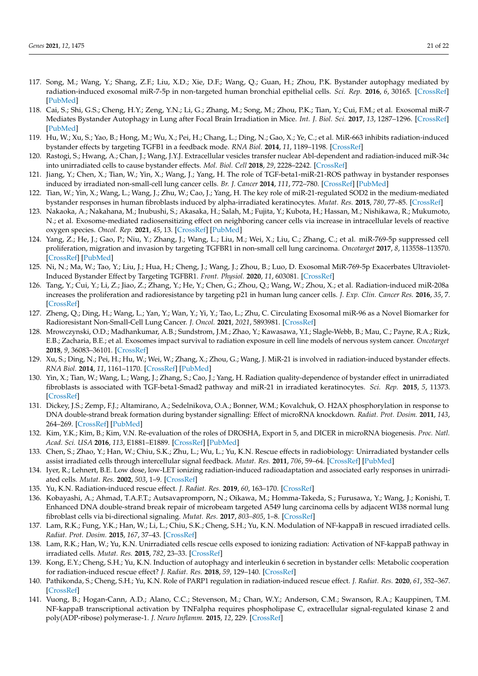- <span id="page-20-0"></span>117. Song, M.; Wang, Y.; Shang, Z.F.; Liu, X.D.; Xie, D.F.; Wang, Q.; Guan, H.; Zhou, P.K. Bystander autophagy mediated by radiation-induced exosomal miR-7-5p in non-targeted human bronchial epithelial cells. *Sci. Rep.* **2016**, *6*, 30165. [\[CrossRef\]](http://doi.org/10.1038/srep30165) [\[PubMed\]](http://www.ncbi.nlm.nih.gov/pubmed/27417393)
- <span id="page-20-1"></span>118. Cai, S.; Shi, G.S.; Cheng, H.Y.; Zeng, Y.N.; Li, G.; Zhang, M.; Song, M.; Zhou, P.K.; Tian, Y.; Cui, F.M.; et al. Exosomal miR-7 Mediates Bystander Autophagy in Lung after Focal Brain Irradiation in Mice. *Int. J. Biol. Sci.* **2017**, *13*, 1287–1296. [\[CrossRef\]](http://doi.org/10.7150/ijbs.18890) [\[PubMed\]](http://www.ncbi.nlm.nih.gov/pubmed/29104495)
- <span id="page-20-2"></span>119. Hu, W.; Xu, S.; Yao, B.; Hong, M.; Wu, X.; Pei, H.; Chang, L.; Ding, N.; Gao, X.; Ye, C.; et al. MiR-663 inhibits radiation-induced bystander effects by targeting TGFB1 in a feedback mode. *RNA Biol.* **2014**, *11*, 1189–1198. [\[CrossRef\]](http://doi.org/10.4161/rna.34345)
- <span id="page-20-3"></span>120. Rastogi, S.; Hwang, A.; Chan, J.; Wang, J.Y.J. Extracellular vesicles transfer nuclear Abl-dependent and radiation-induced miR-34c into unirradiated cells to cause bystander effects. *Mol. Biol. Cell* **2018**, *29*, 2228–2242. [\[CrossRef\]](http://doi.org/10.1091/mbc.E18-02-0130)
- <span id="page-20-4"></span>121. Jiang, Y.; Chen, X.; Tian, W.; Yin, X.; Wang, J.; Yang, H. The role of TGF-beta1-miR-21-ROS pathway in bystander responses induced by irradiated non-small-cell lung cancer cells. *Br. J. Cancer* **2014**, *111*, 772–780. [\[CrossRef\]](http://doi.org/10.1038/bjc.2014.368) [\[PubMed\]](http://www.ncbi.nlm.nih.gov/pubmed/24992582)
- <span id="page-20-5"></span>122. Tian, W.; Yin, X.; Wang, L.; Wang, J.; Zhu, W.; Cao, J.; Yang, H. The key role of miR-21-regulated SOD2 in the medium-mediated bystander responses in human fibroblasts induced by alpha-irradiated keratinocytes. *Mutat. Res.* **2015**, *780*, 77–85. [\[CrossRef\]](http://doi.org/10.1016/j.mrfmmm.2015.08.003)
- <span id="page-20-6"></span>123. Nakaoka, A.; Nakahana, M.; Inubushi, S.; Akasaka, H.; Salah, M.; Fujita, Y.; Kubota, H.; Hassan, M.; Nishikawa, R.; Mukumoto, N.; et al. Exosome-mediated radiosensitizing effect on neighboring cancer cells via increase in intracellular levels of reactive oxygen species. *Oncol. Rep.* **2021**, *45*, 13. [\[CrossRef\]](http://doi.org/10.3892/or.2021.7964) [\[PubMed\]](http://www.ncbi.nlm.nih.gov/pubmed/33649776)
- <span id="page-20-7"></span>124. Yang, Z.; He, J.; Gao, P.; Niu, Y.; Zhang, J.; Wang, L.; Liu, M.; Wei, X.; Liu, C.; Zhang, C.; et al. miR-769-5p suppressed cell proliferation, migration and invasion by targeting TGFBR1 in non-small cell lung carcinoma. *Oncotarget* **2017**, *8*, 113558–113570. [\[CrossRef\]](http://doi.org/10.18632/oncotarget.23060) [\[PubMed\]](http://www.ncbi.nlm.nih.gov/pubmed/29371929)
- <span id="page-20-8"></span>125. Ni, N.; Ma, W.; Tao, Y.; Liu, J.; Hua, H.; Cheng, J.; Wang, J.; Zhou, B.; Luo, D. Exosomal MiR-769-5p Exacerbates Ultraviolet-Induced Bystander Effect by Targeting TGFBR1. *Front. Physiol.* **2020**, *11*, 603081. [\[CrossRef\]](http://doi.org/10.3389/fphys.2020.603081)
- <span id="page-20-9"></span>126. Tang, Y.; Cui, Y.; Li, Z.; Jiao, Z.; Zhang, Y.; He, Y.; Chen, G.; Zhou, Q.; Wang, W.; Zhou, X.; et al. Radiation-induced miR-208a increases the proliferation and radioresistance by targeting p21 in human lung cancer cells. *J. Exp. Clin. Cancer Res.* **2016**, *35*, 7. [\[CrossRef\]](http://doi.org/10.1186/s13046-016-0285-3)
- <span id="page-20-10"></span>127. Zheng, Q.; Ding, H.; Wang, L.; Yan, Y.; Wan, Y.; Yi, Y.; Tao, L.; Zhu, C. Circulating Exosomal miR-96 as a Novel Biomarker for Radioresistant Non-Small-Cell Lung Cancer. *J. Oncol.* **2021**, *2021*, 5893981. [\[CrossRef\]](http://doi.org/10.1155/2021/5893981)
- <span id="page-20-11"></span>128. Mrowczynski, O.D.; Madhankumar, A.B.; Sundstrom, J.M.; Zhao, Y.; Kawasawa, Y.I.; Slagle-Webb, B.; Mau, C.; Payne, R.A.; Rizk, E.B.; Zacharia, B.E.; et al. Exosomes impact survival to radiation exposure in cell line models of nervous system cancer. *Oncotarget* **2018**, *9*, 36083–36101. [\[CrossRef\]](http://doi.org/10.18632/oncotarget.26300)
- <span id="page-20-12"></span>129. Xu, S.; Ding, N.; Pei, H.; Hu, W.; Wei, W.; Zhang, X.; Zhou, G.; Wang, J. MiR-21 is involved in radiation-induced bystander effects. *RNA Biol.* **2014**, *11*, 1161–1170. [\[CrossRef\]](http://doi.org/10.4161/rna.34380) [\[PubMed\]](http://www.ncbi.nlm.nih.gov/pubmed/25483031)
- <span id="page-20-13"></span>130. Yin, X.; Tian, W.; Wang, L.; Wang, J.; Zhang, S.; Cao, J.; Yang, H. Radiation quality-dependence of bystander effect in unirradiated fibroblasts is associated with TGF-beta1-Smad2 pathway and miR-21 in irradiated keratinocytes. *Sci. Rep.* **2015**, *5*, 11373. [\[CrossRef\]](http://doi.org/10.1038/srep11373)
- <span id="page-20-14"></span>131. Dickey, J.S.; Zemp, F.J.; Altamirano, A.; Sedelnikova, O.A.; Bonner, W.M.; Kovalchuk, O. H2AX phosphorylation in response to DNA double-strand break formation during bystander signalling: Effect of microRNA knockdown. *Radiat. Prot. Dosim.* **2011**, *143*, 264–269. [\[CrossRef\]](http://doi.org/10.1093/rpd/ncq470) [\[PubMed\]](http://www.ncbi.nlm.nih.gov/pubmed/21183548)
- <span id="page-20-15"></span>132. Kim, Y.K.; Kim, B.; Kim, V.N. Re-evaluation of the roles of DROSHA, Export in 5, and DICER in microRNA biogenesis. *Proc. Natl. Acad. Sci. USA* **2016**, *113*, E1881–E1889. [\[CrossRef\]](http://doi.org/10.1073/pnas.1602532113) [\[PubMed\]](http://www.ncbi.nlm.nih.gov/pubmed/26976605)
- <span id="page-20-16"></span>133. Chen, S.; Zhao, Y.; Han, W.; Chiu, S.K.; Zhu, L.; Wu, L.; Yu, K.N. Rescue effects in radiobiology: Unirradiated bystander cells assist irradiated cells through intercellular signal feedback. *Mutat. Res.* **2011**, *706*, 59–64. [\[CrossRef\]](http://doi.org/10.1016/j.mrfmmm.2010.10.011) [\[PubMed\]](http://www.ncbi.nlm.nih.gov/pubmed/21073884)
- <span id="page-20-17"></span>134. Iyer, R.; Lehnert, B.E. Low dose, low-LET ionizing radiation-induced radioadaptation and associated early responses in unirradiated cells. *Mutat. Res.* **2002**, *503*, 1–9. [\[CrossRef\]](http://doi.org/10.1016/S0027-5107(02)00068-4)
- <span id="page-20-18"></span>135. Yu, K.N. Radiation-induced rescue effect. *J. Radiat. Res.* **2019**, *60*, 163–170. [\[CrossRef\]](http://doi.org/10.1093/jrr/rry109)
- <span id="page-20-19"></span>136. Kobayashi, A.; Ahmad, T.A.F.T.; Autsavapromporn, N.; Oikawa, M.; Homma-Takeda, S.; Furusawa, Y.; Wang, J.; Konishi, T. Enhanced DNA double-strand break repair of microbeam targeted A549 lung carcinoma cells by adjacent WI38 normal lung fibroblast cells via bi-directional signaling. *Mutat. Res.* **2017**, *803–805*, 1–8. [\[CrossRef\]](http://doi.org/10.1016/j.mrfmmm.2017.06.006)
- <span id="page-20-20"></span>137. Lam, R.K.; Fung, Y.K.; Han, W.; Li, L.; Chiu, S.K.; Cheng, S.H.; Yu, K.N. Modulation of NF-kappaB in rescued irradiated cells. *Radiat. Prot. Dosim.* **2015**, *167*, 37–43. [\[CrossRef\]](http://doi.org/10.1093/rpd/ncv217)
- <span id="page-20-21"></span>138. Lam, R.K.; Han, W.; Yu, K.N. Unirradiated cells rescue cells exposed to ionizing radiation: Activation of NF-kappaB pathway in irradiated cells. *Mutat. Res.* **2015**, *782*, 23–33. [\[CrossRef\]](http://doi.org/10.1016/j.mrfmmm.2015.10.004)
- <span id="page-20-22"></span>139. Kong, E.Y.; Cheng, S.H.; Yu, K.N. Induction of autophagy and interleukin 6 secretion in bystander cells: Metabolic cooperation for radiation-induced rescue effect? *J. Radiat. Res.* **2018**, *59*, 129–140. [\[CrossRef\]](http://doi.org/10.1093/jrr/rrx101)
- <span id="page-20-23"></span>140. Pathikonda, S.; Cheng, S.H.; Yu, K.N. Role of PARP1 regulation in radiation-induced rescue effect. *J. Radiat. Res.* **2020**, *61*, 352–367. [\[CrossRef\]](http://doi.org/10.1093/jrr/rraa023)
- <span id="page-20-24"></span>141. Vuong, B.; Hogan-Cann, A.D.; Alano, C.C.; Stevenson, M.; Chan, W.Y.; Anderson, C.M.; Swanson, R.A.; Kauppinen, T.M. NF-kappaB transcriptional activation by TNFalpha requires phospholipase C, extracellular signal-regulated kinase 2 and poly(ADP-ribose) polymerase-1. *J. Neuro Inflamm.* **2015**, *12*, 229. [\[CrossRef\]](http://doi.org/10.1186/s12974-015-0448-8)